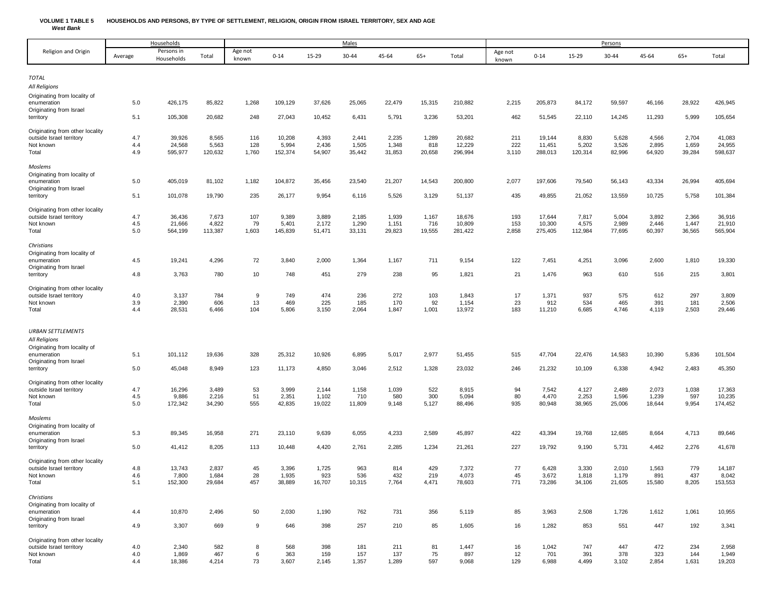## **VOLUME 1 TABLE 5 HOUSEHOLDS AND PERSONS, BY TYPE OF SETTLEMENT, RELIGION, ORIGIN FROM ISRAEL TERRITORY, SEX AND AGE** *West Bank*

| Religion and Origin<br>Persons in<br>Age not<br>Age not<br>$65+$<br>45-64<br>$65+$<br>$0 - 14$<br>15-29<br>30-44<br>45-64<br>$0 - 14$<br>15-29<br>30-44<br>Average<br>Total<br>Total<br>Total<br>Households<br>known<br>known<br><b>TOTAL</b><br>All Religions<br>Originating from locality of<br>426,175<br>85,822<br>109,129<br>37,626<br>25,065<br>22,479<br>210,882<br>205,873<br>84,172<br>59,597<br>46,166<br>28,922<br>426,945<br>5.0<br>1,268<br>15,315<br>2,215<br>enumeration<br>Originating from Israel<br>5.1<br>105,308<br>20,682<br>248<br>27,043<br>10,452<br>6,431<br>5,791<br>3,236<br>53,201<br>462<br>51,545<br>22,110<br>14,245<br>11,293<br>5,999<br>105,654<br>territory<br>Originating from other locality<br>39,926<br>8,565<br>10,208<br>4,393<br>2,441<br>2,235<br>1,289<br>20,682<br>211<br>8,830<br>5,628<br>4,566<br>2,704<br>41,083<br>4.7<br>116<br>19,144<br>outside Israel territory<br>5,563<br>128<br>5,994<br>2,436<br>1,505<br>1,348<br>12,229<br>222<br>5,202<br>3,526<br>2,895<br>1,659<br>24,955<br>4.4<br>24,568<br>818<br>11,451<br>Not known<br>4.9<br>595,977<br>120,632<br>1,760<br>152,374<br>54,907<br>35,442<br>31,853<br>20,658<br>296,994<br>3,110<br>288,013<br>120,314<br>82,996<br>64,920<br>39,284<br>598,637<br>Total<br>Moslems<br>Originating from locality of<br>5.0<br>405,019<br>81,102<br>1,182<br>104,872<br>35,456<br>23,540<br>21,207<br>14,543<br>200,800<br>2,077<br>197,606<br>79,540<br>56,143<br>43,334<br>26,994<br>405,694<br>enumeration<br>Originating from Israel<br>5.1<br>101,078<br>19,790<br>235<br>26,177<br>9,954<br>5,526<br>3,129<br>51,137<br>435<br>49,855<br>21,052<br>13,559<br>10,725<br>5,758<br>101,384<br>territory<br>6,116<br>Originating from other locality<br>7,673<br>2,185<br>1,939<br>3,892<br>2,366<br>4.7<br>36,436<br>107<br>9,389<br>3,889<br>1,167<br>18,676<br>193<br>17,644<br>7,817<br>5,004<br>36,916<br>outside Israel territory<br>4.5<br>21,666<br>4,822<br>79<br>5,401<br>2,172<br>1,290<br>1,151<br>716<br>10,809<br>153<br>10,300<br>4,575<br>2,989<br>2,446<br>1,447<br>21,910<br>Not known<br>5.0<br>1,603<br>19,555<br>2,858<br>36,565<br>564,199<br>113,387<br>145,839<br>51,471<br>33,131<br>29,823<br>281,422<br>275,405<br>112,984<br>77,695<br>60,397<br>565,904<br>Total<br>Christians<br>Originating from locality of<br>72<br>19,241<br>4,296<br>3,840<br>1,364<br>1,167<br>711<br>9,154<br>122<br>7,451<br>4,251<br>3,096<br>2,600<br>1,810<br>19,330<br>enumeration<br>4.5<br>2,000<br>Originating from Israel<br>3,763<br>780<br>748<br>279<br>238<br>95<br>1,821<br>21<br>1,476<br>963<br>610<br>516<br>215<br>3,801<br>4.8<br>10<br>451<br>territory<br>Originating from other locality<br>4.0<br>3,137<br>784<br>9<br>749<br>474<br>272<br>103<br>1,843<br>17<br>1,371<br>937<br>575<br>612<br>297<br>3,809<br>outside Israel territory<br>236<br>3.9<br>2,390<br>606<br>13<br>469<br>225<br>170<br>92<br>23<br>912<br>534<br>465<br>391<br>181<br>2,506<br>185<br>1,154<br>Not known<br>28,531<br>6,466<br>104<br>5,806<br>3,150<br>2,064<br>1,847<br>1,001<br>13,972<br>183<br>6,685<br>4,746<br>2,503<br>4.4<br>11,210<br>4,119<br>29,446<br>Total<br><b>URBAN SETTLEMENTS</b><br>All Religions<br>Originating from locality of<br>5.1<br>19,636<br>328<br>25,312<br>2,977<br>51,455<br>47,704<br>22,476<br>14,583<br>10,390<br>5,836<br>101,504<br>enumeration<br>101,112<br>10,926<br>6,895<br>5,017<br>515<br>Originating from Israel<br>5.0<br>45,048<br>123<br>2,512<br>23,032<br>246<br>21,232<br>6,338<br>4,942<br>2,483<br>8,949<br>11,173<br>4,850<br>3,046<br>1,328<br>10,109<br>45,350<br>territory<br>Originating from other locality |
|----------------------------------------------------------------------------------------------------------------------------------------------------------------------------------------------------------------------------------------------------------------------------------------------------------------------------------------------------------------------------------------------------------------------------------------------------------------------------------------------------------------------------------------------------------------------------------------------------------------------------------------------------------------------------------------------------------------------------------------------------------------------------------------------------------------------------------------------------------------------------------------------------------------------------------------------------------------------------------------------------------------------------------------------------------------------------------------------------------------------------------------------------------------------------------------------------------------------------------------------------------------------------------------------------------------------------------------------------------------------------------------------------------------------------------------------------------------------------------------------------------------------------------------------------------------------------------------------------------------------------------------------------------------------------------------------------------------------------------------------------------------------------------------------------------------------------------------------------------------------------------------------------------------------------------------------------------------------------------------------------------------------------------------------------------------------------------------------------------------------------------------------------------------------------------------------------------------------------------------------------------------------------------------------------------------------------------------------------------------------------------------------------------------------------------------------------------------------------------------------------------------------------------------------------------------------------------------------------------------------------------------------------------------------------------------------------------------------------------------------------------------------------------------------------------------------------------------------------------------------------------------------------------------------------------------------------------------------------------------------------------------------------------------------------------------------------------------------------------------------------------------------------------------------------------------------------------------------------------------------------------------------------------------------------------------------------------------------------------------------------------------------------------------------------------------------------------------------------------------------------------------------------------------------------------------------------------------------------------------------------------------------------------------------------------------|
|                                                                                                                                                                                                                                                                                                                                                                                                                                                                                                                                                                                                                                                                                                                                                                                                                                                                                                                                                                                                                                                                                                                                                                                                                                                                                                                                                                                                                                                                                                                                                                                                                                                                                                                                                                                                                                                                                                                                                                                                                                                                                                                                                                                                                                                                                                                                                                                                                                                                                                                                                                                                                                                                                                                                                                                                                                                                                                                                                                                                                                                                                                                                                                                                                                                                                                                                                                                                                                                                                                                                                                                                                                                                                        |
|                                                                                                                                                                                                                                                                                                                                                                                                                                                                                                                                                                                                                                                                                                                                                                                                                                                                                                                                                                                                                                                                                                                                                                                                                                                                                                                                                                                                                                                                                                                                                                                                                                                                                                                                                                                                                                                                                                                                                                                                                                                                                                                                                                                                                                                                                                                                                                                                                                                                                                                                                                                                                                                                                                                                                                                                                                                                                                                                                                                                                                                                                                                                                                                                                                                                                                                                                                                                                                                                                                                                                                                                                                                                                        |
|                                                                                                                                                                                                                                                                                                                                                                                                                                                                                                                                                                                                                                                                                                                                                                                                                                                                                                                                                                                                                                                                                                                                                                                                                                                                                                                                                                                                                                                                                                                                                                                                                                                                                                                                                                                                                                                                                                                                                                                                                                                                                                                                                                                                                                                                                                                                                                                                                                                                                                                                                                                                                                                                                                                                                                                                                                                                                                                                                                                                                                                                                                                                                                                                                                                                                                                                                                                                                                                                                                                                                                                                                                                                                        |
|                                                                                                                                                                                                                                                                                                                                                                                                                                                                                                                                                                                                                                                                                                                                                                                                                                                                                                                                                                                                                                                                                                                                                                                                                                                                                                                                                                                                                                                                                                                                                                                                                                                                                                                                                                                                                                                                                                                                                                                                                                                                                                                                                                                                                                                                                                                                                                                                                                                                                                                                                                                                                                                                                                                                                                                                                                                                                                                                                                                                                                                                                                                                                                                                                                                                                                                                                                                                                                                                                                                                                                                                                                                                                        |
|                                                                                                                                                                                                                                                                                                                                                                                                                                                                                                                                                                                                                                                                                                                                                                                                                                                                                                                                                                                                                                                                                                                                                                                                                                                                                                                                                                                                                                                                                                                                                                                                                                                                                                                                                                                                                                                                                                                                                                                                                                                                                                                                                                                                                                                                                                                                                                                                                                                                                                                                                                                                                                                                                                                                                                                                                                                                                                                                                                                                                                                                                                                                                                                                                                                                                                                                                                                                                                                                                                                                                                                                                                                                                        |
|                                                                                                                                                                                                                                                                                                                                                                                                                                                                                                                                                                                                                                                                                                                                                                                                                                                                                                                                                                                                                                                                                                                                                                                                                                                                                                                                                                                                                                                                                                                                                                                                                                                                                                                                                                                                                                                                                                                                                                                                                                                                                                                                                                                                                                                                                                                                                                                                                                                                                                                                                                                                                                                                                                                                                                                                                                                                                                                                                                                                                                                                                                                                                                                                                                                                                                                                                                                                                                                                                                                                                                                                                                                                                        |
|                                                                                                                                                                                                                                                                                                                                                                                                                                                                                                                                                                                                                                                                                                                                                                                                                                                                                                                                                                                                                                                                                                                                                                                                                                                                                                                                                                                                                                                                                                                                                                                                                                                                                                                                                                                                                                                                                                                                                                                                                                                                                                                                                                                                                                                                                                                                                                                                                                                                                                                                                                                                                                                                                                                                                                                                                                                                                                                                                                                                                                                                                                                                                                                                                                                                                                                                                                                                                                                                                                                                                                                                                                                                                        |
|                                                                                                                                                                                                                                                                                                                                                                                                                                                                                                                                                                                                                                                                                                                                                                                                                                                                                                                                                                                                                                                                                                                                                                                                                                                                                                                                                                                                                                                                                                                                                                                                                                                                                                                                                                                                                                                                                                                                                                                                                                                                                                                                                                                                                                                                                                                                                                                                                                                                                                                                                                                                                                                                                                                                                                                                                                                                                                                                                                                                                                                                                                                                                                                                                                                                                                                                                                                                                                                                                                                                                                                                                                                                                        |
|                                                                                                                                                                                                                                                                                                                                                                                                                                                                                                                                                                                                                                                                                                                                                                                                                                                                                                                                                                                                                                                                                                                                                                                                                                                                                                                                                                                                                                                                                                                                                                                                                                                                                                                                                                                                                                                                                                                                                                                                                                                                                                                                                                                                                                                                                                                                                                                                                                                                                                                                                                                                                                                                                                                                                                                                                                                                                                                                                                                                                                                                                                                                                                                                                                                                                                                                                                                                                                                                                                                                                                                                                                                                                        |
|                                                                                                                                                                                                                                                                                                                                                                                                                                                                                                                                                                                                                                                                                                                                                                                                                                                                                                                                                                                                                                                                                                                                                                                                                                                                                                                                                                                                                                                                                                                                                                                                                                                                                                                                                                                                                                                                                                                                                                                                                                                                                                                                                                                                                                                                                                                                                                                                                                                                                                                                                                                                                                                                                                                                                                                                                                                                                                                                                                                                                                                                                                                                                                                                                                                                                                                                                                                                                                                                                                                                                                                                                                                                                        |
|                                                                                                                                                                                                                                                                                                                                                                                                                                                                                                                                                                                                                                                                                                                                                                                                                                                                                                                                                                                                                                                                                                                                                                                                                                                                                                                                                                                                                                                                                                                                                                                                                                                                                                                                                                                                                                                                                                                                                                                                                                                                                                                                                                                                                                                                                                                                                                                                                                                                                                                                                                                                                                                                                                                                                                                                                                                                                                                                                                                                                                                                                                                                                                                                                                                                                                                                                                                                                                                                                                                                                                                                                                                                                        |
|                                                                                                                                                                                                                                                                                                                                                                                                                                                                                                                                                                                                                                                                                                                                                                                                                                                                                                                                                                                                                                                                                                                                                                                                                                                                                                                                                                                                                                                                                                                                                                                                                                                                                                                                                                                                                                                                                                                                                                                                                                                                                                                                                                                                                                                                                                                                                                                                                                                                                                                                                                                                                                                                                                                                                                                                                                                                                                                                                                                                                                                                                                                                                                                                                                                                                                                                                                                                                                                                                                                                                                                                                                                                                        |
|                                                                                                                                                                                                                                                                                                                                                                                                                                                                                                                                                                                                                                                                                                                                                                                                                                                                                                                                                                                                                                                                                                                                                                                                                                                                                                                                                                                                                                                                                                                                                                                                                                                                                                                                                                                                                                                                                                                                                                                                                                                                                                                                                                                                                                                                                                                                                                                                                                                                                                                                                                                                                                                                                                                                                                                                                                                                                                                                                                                                                                                                                                                                                                                                                                                                                                                                                                                                                                                                                                                                                                                                                                                                                        |
|                                                                                                                                                                                                                                                                                                                                                                                                                                                                                                                                                                                                                                                                                                                                                                                                                                                                                                                                                                                                                                                                                                                                                                                                                                                                                                                                                                                                                                                                                                                                                                                                                                                                                                                                                                                                                                                                                                                                                                                                                                                                                                                                                                                                                                                                                                                                                                                                                                                                                                                                                                                                                                                                                                                                                                                                                                                                                                                                                                                                                                                                                                                                                                                                                                                                                                                                                                                                                                                                                                                                                                                                                                                                                        |
|                                                                                                                                                                                                                                                                                                                                                                                                                                                                                                                                                                                                                                                                                                                                                                                                                                                                                                                                                                                                                                                                                                                                                                                                                                                                                                                                                                                                                                                                                                                                                                                                                                                                                                                                                                                                                                                                                                                                                                                                                                                                                                                                                                                                                                                                                                                                                                                                                                                                                                                                                                                                                                                                                                                                                                                                                                                                                                                                                                                                                                                                                                                                                                                                                                                                                                                                                                                                                                                                                                                                                                                                                                                                                        |
|                                                                                                                                                                                                                                                                                                                                                                                                                                                                                                                                                                                                                                                                                                                                                                                                                                                                                                                                                                                                                                                                                                                                                                                                                                                                                                                                                                                                                                                                                                                                                                                                                                                                                                                                                                                                                                                                                                                                                                                                                                                                                                                                                                                                                                                                                                                                                                                                                                                                                                                                                                                                                                                                                                                                                                                                                                                                                                                                                                                                                                                                                                                                                                                                                                                                                                                                                                                                                                                                                                                                                                                                                                                                                        |
|                                                                                                                                                                                                                                                                                                                                                                                                                                                                                                                                                                                                                                                                                                                                                                                                                                                                                                                                                                                                                                                                                                                                                                                                                                                                                                                                                                                                                                                                                                                                                                                                                                                                                                                                                                                                                                                                                                                                                                                                                                                                                                                                                                                                                                                                                                                                                                                                                                                                                                                                                                                                                                                                                                                                                                                                                                                                                                                                                                                                                                                                                                                                                                                                                                                                                                                                                                                                                                                                                                                                                                                                                                                                                        |
|                                                                                                                                                                                                                                                                                                                                                                                                                                                                                                                                                                                                                                                                                                                                                                                                                                                                                                                                                                                                                                                                                                                                                                                                                                                                                                                                                                                                                                                                                                                                                                                                                                                                                                                                                                                                                                                                                                                                                                                                                                                                                                                                                                                                                                                                                                                                                                                                                                                                                                                                                                                                                                                                                                                                                                                                                                                                                                                                                                                                                                                                                                                                                                                                                                                                                                                                                                                                                                                                                                                                                                                                                                                                                        |
|                                                                                                                                                                                                                                                                                                                                                                                                                                                                                                                                                                                                                                                                                                                                                                                                                                                                                                                                                                                                                                                                                                                                                                                                                                                                                                                                                                                                                                                                                                                                                                                                                                                                                                                                                                                                                                                                                                                                                                                                                                                                                                                                                                                                                                                                                                                                                                                                                                                                                                                                                                                                                                                                                                                                                                                                                                                                                                                                                                                                                                                                                                                                                                                                                                                                                                                                                                                                                                                                                                                                                                                                                                                                                        |
|                                                                                                                                                                                                                                                                                                                                                                                                                                                                                                                                                                                                                                                                                                                                                                                                                                                                                                                                                                                                                                                                                                                                                                                                                                                                                                                                                                                                                                                                                                                                                                                                                                                                                                                                                                                                                                                                                                                                                                                                                                                                                                                                                                                                                                                                                                                                                                                                                                                                                                                                                                                                                                                                                                                                                                                                                                                                                                                                                                                                                                                                                                                                                                                                                                                                                                                                                                                                                                                                                                                                                                                                                                                                                        |
|                                                                                                                                                                                                                                                                                                                                                                                                                                                                                                                                                                                                                                                                                                                                                                                                                                                                                                                                                                                                                                                                                                                                                                                                                                                                                                                                                                                                                                                                                                                                                                                                                                                                                                                                                                                                                                                                                                                                                                                                                                                                                                                                                                                                                                                                                                                                                                                                                                                                                                                                                                                                                                                                                                                                                                                                                                                                                                                                                                                                                                                                                                                                                                                                                                                                                                                                                                                                                                                                                                                                                                                                                                                                                        |
|                                                                                                                                                                                                                                                                                                                                                                                                                                                                                                                                                                                                                                                                                                                                                                                                                                                                                                                                                                                                                                                                                                                                                                                                                                                                                                                                                                                                                                                                                                                                                                                                                                                                                                                                                                                                                                                                                                                                                                                                                                                                                                                                                                                                                                                                                                                                                                                                                                                                                                                                                                                                                                                                                                                                                                                                                                                                                                                                                                                                                                                                                                                                                                                                                                                                                                                                                                                                                                                                                                                                                                                                                                                                                        |
|                                                                                                                                                                                                                                                                                                                                                                                                                                                                                                                                                                                                                                                                                                                                                                                                                                                                                                                                                                                                                                                                                                                                                                                                                                                                                                                                                                                                                                                                                                                                                                                                                                                                                                                                                                                                                                                                                                                                                                                                                                                                                                                                                                                                                                                                                                                                                                                                                                                                                                                                                                                                                                                                                                                                                                                                                                                                                                                                                                                                                                                                                                                                                                                                                                                                                                                                                                                                                                                                                                                                                                                                                                                                                        |
|                                                                                                                                                                                                                                                                                                                                                                                                                                                                                                                                                                                                                                                                                                                                                                                                                                                                                                                                                                                                                                                                                                                                                                                                                                                                                                                                                                                                                                                                                                                                                                                                                                                                                                                                                                                                                                                                                                                                                                                                                                                                                                                                                                                                                                                                                                                                                                                                                                                                                                                                                                                                                                                                                                                                                                                                                                                                                                                                                                                                                                                                                                                                                                                                                                                                                                                                                                                                                                                                                                                                                                                                                                                                                        |
|                                                                                                                                                                                                                                                                                                                                                                                                                                                                                                                                                                                                                                                                                                                                                                                                                                                                                                                                                                                                                                                                                                                                                                                                                                                                                                                                                                                                                                                                                                                                                                                                                                                                                                                                                                                                                                                                                                                                                                                                                                                                                                                                                                                                                                                                                                                                                                                                                                                                                                                                                                                                                                                                                                                                                                                                                                                                                                                                                                                                                                                                                                                                                                                                                                                                                                                                                                                                                                                                                                                                                                                                                                                                                        |
|                                                                                                                                                                                                                                                                                                                                                                                                                                                                                                                                                                                                                                                                                                                                                                                                                                                                                                                                                                                                                                                                                                                                                                                                                                                                                                                                                                                                                                                                                                                                                                                                                                                                                                                                                                                                                                                                                                                                                                                                                                                                                                                                                                                                                                                                                                                                                                                                                                                                                                                                                                                                                                                                                                                                                                                                                                                                                                                                                                                                                                                                                                                                                                                                                                                                                                                                                                                                                                                                                                                                                                                                                                                                                        |
|                                                                                                                                                                                                                                                                                                                                                                                                                                                                                                                                                                                                                                                                                                                                                                                                                                                                                                                                                                                                                                                                                                                                                                                                                                                                                                                                                                                                                                                                                                                                                                                                                                                                                                                                                                                                                                                                                                                                                                                                                                                                                                                                                                                                                                                                                                                                                                                                                                                                                                                                                                                                                                                                                                                                                                                                                                                                                                                                                                                                                                                                                                                                                                                                                                                                                                                                                                                                                                                                                                                                                                                                                                                                                        |
|                                                                                                                                                                                                                                                                                                                                                                                                                                                                                                                                                                                                                                                                                                                                                                                                                                                                                                                                                                                                                                                                                                                                                                                                                                                                                                                                                                                                                                                                                                                                                                                                                                                                                                                                                                                                                                                                                                                                                                                                                                                                                                                                                                                                                                                                                                                                                                                                                                                                                                                                                                                                                                                                                                                                                                                                                                                                                                                                                                                                                                                                                                                                                                                                                                                                                                                                                                                                                                                                                                                                                                                                                                                                                        |
|                                                                                                                                                                                                                                                                                                                                                                                                                                                                                                                                                                                                                                                                                                                                                                                                                                                                                                                                                                                                                                                                                                                                                                                                                                                                                                                                                                                                                                                                                                                                                                                                                                                                                                                                                                                                                                                                                                                                                                                                                                                                                                                                                                                                                                                                                                                                                                                                                                                                                                                                                                                                                                                                                                                                                                                                                                                                                                                                                                                                                                                                                                                                                                                                                                                                                                                                                                                                                                                                                                                                                                                                                                                                                        |
|                                                                                                                                                                                                                                                                                                                                                                                                                                                                                                                                                                                                                                                                                                                                                                                                                                                                                                                                                                                                                                                                                                                                                                                                                                                                                                                                                                                                                                                                                                                                                                                                                                                                                                                                                                                                                                                                                                                                                                                                                                                                                                                                                                                                                                                                                                                                                                                                                                                                                                                                                                                                                                                                                                                                                                                                                                                                                                                                                                                                                                                                                                                                                                                                                                                                                                                                                                                                                                                                                                                                                                                                                                                                                        |
|                                                                                                                                                                                                                                                                                                                                                                                                                                                                                                                                                                                                                                                                                                                                                                                                                                                                                                                                                                                                                                                                                                                                                                                                                                                                                                                                                                                                                                                                                                                                                                                                                                                                                                                                                                                                                                                                                                                                                                                                                                                                                                                                                                                                                                                                                                                                                                                                                                                                                                                                                                                                                                                                                                                                                                                                                                                                                                                                                                                                                                                                                                                                                                                                                                                                                                                                                                                                                                                                                                                                                                                                                                                                                        |
| 7,542<br>1,038<br>4.7<br>16,296<br>3,489<br>53<br>3,999<br>2,144<br>1,158<br>1,039<br>522<br>8,915<br>94<br>4,127<br>2,489<br>2,073<br>17,363<br>outside Israel territory                                                                                                                                                                                                                                                                                                                                                                                                                                                                                                                                                                                                                                                                                                                                                                                                                                                                                                                                                                                                                                                                                                                                                                                                                                                                                                                                                                                                                                                                                                                                                                                                                                                                                                                                                                                                                                                                                                                                                                                                                                                                                                                                                                                                                                                                                                                                                                                                                                                                                                                                                                                                                                                                                                                                                                                                                                                                                                                                                                                                                                                                                                                                                                                                                                                                                                                                                                                                                                                                                                              |
| 4.5<br>9,886<br>2,216<br>51<br>2,351<br>1,102<br>580<br>300<br>80<br>4,470<br>2,253<br>1,596<br>597<br>10,235<br>710<br>5,094<br>1,239<br>Not known<br>5.0<br>34,290<br>555<br>42,835<br>19,022<br>11,809<br>5,127<br>935<br>80,948<br>38,965<br>25,006<br>9,954<br>174,452<br>172,342<br>9,148<br>88,496<br>18,644<br>Total                                                                                                                                                                                                                                                                                                                                                                                                                                                                                                                                                                                                                                                                                                                                                                                                                                                                                                                                                                                                                                                                                                                                                                                                                                                                                                                                                                                                                                                                                                                                                                                                                                                                                                                                                                                                                                                                                                                                                                                                                                                                                                                                                                                                                                                                                                                                                                                                                                                                                                                                                                                                                                                                                                                                                                                                                                                                                                                                                                                                                                                                                                                                                                                                                                                                                                                                                           |
|                                                                                                                                                                                                                                                                                                                                                                                                                                                                                                                                                                                                                                                                                                                                                                                                                                                                                                                                                                                                                                                                                                                                                                                                                                                                                                                                                                                                                                                                                                                                                                                                                                                                                                                                                                                                                                                                                                                                                                                                                                                                                                                                                                                                                                                                                                                                                                                                                                                                                                                                                                                                                                                                                                                                                                                                                                                                                                                                                                                                                                                                                                                                                                                                                                                                                                                                                                                                                                                                                                                                                                                                                                                                                        |
| Moslems<br>Originating from locality of                                                                                                                                                                                                                                                                                                                                                                                                                                                                                                                                                                                                                                                                                                                                                                                                                                                                                                                                                                                                                                                                                                                                                                                                                                                                                                                                                                                                                                                                                                                                                                                                                                                                                                                                                                                                                                                                                                                                                                                                                                                                                                                                                                                                                                                                                                                                                                                                                                                                                                                                                                                                                                                                                                                                                                                                                                                                                                                                                                                                                                                                                                                                                                                                                                                                                                                                                                                                                                                                                                                                                                                                                                                |
| 6,055<br>4,233<br>2,589<br>45,897<br>422<br>43,394<br>19,768<br>12,685<br>4,713<br>5.3<br>89,345<br>16,958<br>271<br>23,110<br>9,639<br>8,664<br>89,646<br>enumeration                                                                                                                                                                                                                                                                                                                                                                                                                                                                                                                                                                                                                                                                                                                                                                                                                                                                                                                                                                                                                                                                                                                                                                                                                                                                                                                                                                                                                                                                                                                                                                                                                                                                                                                                                                                                                                                                                                                                                                                                                                                                                                                                                                                                                                                                                                                                                                                                                                                                                                                                                                                                                                                                                                                                                                                                                                                                                                                                                                                                                                                                                                                                                                                                                                                                                                                                                                                                                                                                                                                 |
| Originating from Israel<br>5.0<br>41,412<br>8,205<br>113<br>10,448<br>4,420<br>2,761<br>2,285<br>1,234<br>21,261<br>227<br>19,792<br>9,190<br>5,731<br>4,462<br>2,276<br>41,678<br>territory                                                                                                                                                                                                                                                                                                                                                                                                                                                                                                                                                                                                                                                                                                                                                                                                                                                                                                                                                                                                                                                                                                                                                                                                                                                                                                                                                                                                                                                                                                                                                                                                                                                                                                                                                                                                                                                                                                                                                                                                                                                                                                                                                                                                                                                                                                                                                                                                                                                                                                                                                                                                                                                                                                                                                                                                                                                                                                                                                                                                                                                                                                                                                                                                                                                                                                                                                                                                                                                                                           |
|                                                                                                                                                                                                                                                                                                                                                                                                                                                                                                                                                                                                                                                                                                                                                                                                                                                                                                                                                                                                                                                                                                                                                                                                                                                                                                                                                                                                                                                                                                                                                                                                                                                                                                                                                                                                                                                                                                                                                                                                                                                                                                                                                                                                                                                                                                                                                                                                                                                                                                                                                                                                                                                                                                                                                                                                                                                                                                                                                                                                                                                                                                                                                                                                                                                                                                                                                                                                                                                                                                                                                                                                                                                                                        |
| Originating from other locality<br>13,743<br>2,837<br>45<br>3,396<br>1,725<br>963<br>814<br>429<br>7,372<br>77<br>6,428<br>3,330<br>2,010<br>1,563<br>779<br>14,187<br>outside Israel territory<br>4.8                                                                                                                                                                                                                                                                                                                                                                                                                                                                                                                                                                                                                                                                                                                                                                                                                                                                                                                                                                                                                                                                                                                                                                                                                                                                                                                                                                                                                                                                                                                                                                                                                                                                                                                                                                                                                                                                                                                                                                                                                                                                                                                                                                                                                                                                                                                                                                                                                                                                                                                                                                                                                                                                                                                                                                                                                                                                                                                                                                                                                                                                                                                                                                                                                                                                                                                                                                                                                                                                                 |
| 1,684<br>28<br>432<br>219<br>3,672<br>1,818<br>8,042<br>Not known<br>4.6<br>7,800<br>1,935<br>923<br>536<br>4,073<br>45<br>1,179<br>891<br>437                                                                                                                                                                                                                                                                                                                                                                                                                                                                                                                                                                                                                                                                                                                                                                                                                                                                                                                                                                                                                                                                                                                                                                                                                                                                                                                                                                                                                                                                                                                                                                                                                                                                                                                                                                                                                                                                                                                                                                                                                                                                                                                                                                                                                                                                                                                                                                                                                                                                                                                                                                                                                                                                                                                                                                                                                                                                                                                                                                                                                                                                                                                                                                                                                                                                                                                                                                                                                                                                                                                                         |
| 5.1<br>457<br>771<br>152,300<br>29,684<br>38,889<br>16,707<br>10,315<br>7,764<br>4,471<br>78,603<br>73,286<br>34,106<br>21,605<br>15,580<br>8,205<br>153,553<br>Total                                                                                                                                                                                                                                                                                                                                                                                                                                                                                                                                                                                                                                                                                                                                                                                                                                                                                                                                                                                                                                                                                                                                                                                                                                                                                                                                                                                                                                                                                                                                                                                                                                                                                                                                                                                                                                                                                                                                                                                                                                                                                                                                                                                                                                                                                                                                                                                                                                                                                                                                                                                                                                                                                                                                                                                                                                                                                                                                                                                                                                                                                                                                                                                                                                                                                                                                                                                                                                                                                                                  |
| Christians                                                                                                                                                                                                                                                                                                                                                                                                                                                                                                                                                                                                                                                                                                                                                                                                                                                                                                                                                                                                                                                                                                                                                                                                                                                                                                                                                                                                                                                                                                                                                                                                                                                                                                                                                                                                                                                                                                                                                                                                                                                                                                                                                                                                                                                                                                                                                                                                                                                                                                                                                                                                                                                                                                                                                                                                                                                                                                                                                                                                                                                                                                                                                                                                                                                                                                                                                                                                                                                                                                                                                                                                                                                                             |
| Originating from locality of                                                                                                                                                                                                                                                                                                                                                                                                                                                                                                                                                                                                                                                                                                                                                                                                                                                                                                                                                                                                                                                                                                                                                                                                                                                                                                                                                                                                                                                                                                                                                                                                                                                                                                                                                                                                                                                                                                                                                                                                                                                                                                                                                                                                                                                                                                                                                                                                                                                                                                                                                                                                                                                                                                                                                                                                                                                                                                                                                                                                                                                                                                                                                                                                                                                                                                                                                                                                                                                                                                                                                                                                                                                           |
| 50<br>2,508<br>enumeration<br>4.4<br>10,870<br>2,496<br>2,030<br>1,190<br>762<br>731<br>356<br>5,119<br>85<br>3,963<br>1,726<br>1,612<br>1,061<br>10,955<br>Originating from Israel                                                                                                                                                                                                                                                                                                                                                                                                                                                                                                                                                                                                                                                                                                                                                                                                                                                                                                                                                                                                                                                                                                                                                                                                                                                                                                                                                                                                                                                                                                                                                                                                                                                                                                                                                                                                                                                                                                                                                                                                                                                                                                                                                                                                                                                                                                                                                                                                                                                                                                                                                                                                                                                                                                                                                                                                                                                                                                                                                                                                                                                                                                                                                                                                                                                                                                                                                                                                                                                                                                    |
| 4.9<br>3,307<br>669<br>9<br>257<br>210<br>85<br>1,605<br>1,282<br>853<br>551<br>447<br>646<br>398<br>16<br>192<br>3,341<br>territory                                                                                                                                                                                                                                                                                                                                                                                                                                                                                                                                                                                                                                                                                                                                                                                                                                                                                                                                                                                                                                                                                                                                                                                                                                                                                                                                                                                                                                                                                                                                                                                                                                                                                                                                                                                                                                                                                                                                                                                                                                                                                                                                                                                                                                                                                                                                                                                                                                                                                                                                                                                                                                                                                                                                                                                                                                                                                                                                                                                                                                                                                                                                                                                                                                                                                                                                                                                                                                                                                                                                                   |
| Originating from other locality                                                                                                                                                                                                                                                                                                                                                                                                                                                                                                                                                                                                                                                                                                                                                                                                                                                                                                                                                                                                                                                                                                                                                                                                                                                                                                                                                                                                                                                                                                                                                                                                                                                                                                                                                                                                                                                                                                                                                                                                                                                                                                                                                                                                                                                                                                                                                                                                                                                                                                                                                                                                                                                                                                                                                                                                                                                                                                                                                                                                                                                                                                                                                                                                                                                                                                                                                                                                                                                                                                                                                                                                                                                        |
| outside Israel territory<br>4.0<br>2,340<br>582<br>8<br>568<br>398<br>181<br>211<br>81<br>1,447<br>16<br>1,042<br>747<br>447<br>472<br>234<br>2,958<br>75<br>1,869<br>467<br>6<br>363<br>157<br>137<br>897<br>12<br>701<br>391<br>378<br>323<br>1,949<br>159<br>144                                                                                                                                                                                                                                                                                                                                                                                                                                                                                                                                                                                                                                                                                                                                                                                                                                                                                                                                                                                                                                                                                                                                                                                                                                                                                                                                                                                                                                                                                                                                                                                                                                                                                                                                                                                                                                                                                                                                                                                                                                                                                                                                                                                                                                                                                                                                                                                                                                                                                                                                                                                                                                                                                                                                                                                                                                                                                                                                                                                                                                                                                                                                                                                                                                                                                                                                                                                                                    |
| Not known<br>4.0<br>18,386<br>4,214<br>73<br>3,607<br>1,357<br>1,289<br>597<br>129<br>6,988<br>4,499<br>3,102<br>2,854<br>19,203<br>Total<br>4.4<br>2,145<br>9,068<br>1,631                                                                                                                                                                                                                                                                                                                                                                                                                                                                                                                                                                                                                                                                                                                                                                                                                                                                                                                                                                                                                                                                                                                                                                                                                                                                                                                                                                                                                                                                                                                                                                                                                                                                                                                                                                                                                                                                                                                                                                                                                                                                                                                                                                                                                                                                                                                                                                                                                                                                                                                                                                                                                                                                                                                                                                                                                                                                                                                                                                                                                                                                                                                                                                                                                                                                                                                                                                                                                                                                                                            |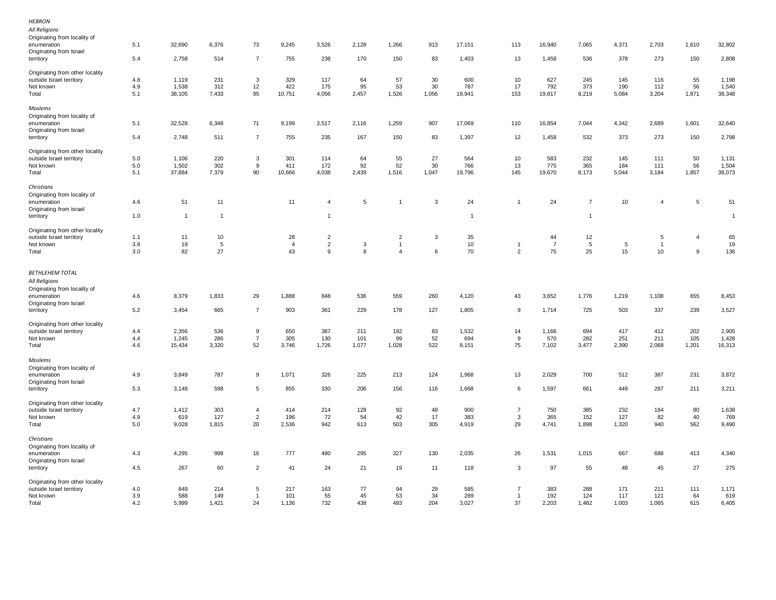| All Religions<br>Originating from locality of               |            |                 |                 |                               |                |                |              |                |           |                 |                      |                 |                |                 |                |                |                 |
|-------------------------------------------------------------|------------|-----------------|-----------------|-------------------------------|----------------|----------------|--------------|----------------|-----------|-----------------|----------------------|-----------------|----------------|-----------------|----------------|----------------|-----------------|
| enumeration<br>Originating from Israel<br>territory         | 5.1<br>5.4 | 32,690<br>2,758 | 6,376<br>514    | 73<br>$\overline{7}$          | 9,245<br>755   | 3,526<br>238   | 2,128<br>170 | 1,266<br>150   | 913<br>83 | 17,151<br>1,403 | 113<br>13            | 16,940<br>1,458 | 7,065<br>536   | 4,371<br>378    | 2,703<br>273   | 1,610<br>150   | 32,802<br>2,808 |
| Originating from other locality                             |            |                 |                 |                               |                |                |              |                |           |                 |                      |                 |                |                 |                |                |                 |
| outside Israel territory                                    | 4.8        | 1,119           | 231             | 3                             | 329            | 117            | 64           | 57             | 30        | 600             | 10                   | 627             | 245            | 145             | 116            | 55             | 1,198           |
| Not known                                                   | 4.9        | 1,538           | 312             | 12                            | 422            | 175            | 95           | 53             | 30        | 787             | 17                   | 792             | 373            | 190             | 112            | 56             | 1,540           |
| Total                                                       | 5.1        | 38,105          | 7,433           | 95                            | 10,751         | 4,056          | 2,457        | 1,526          | 1,056     | 19,941          | 153                  | 19,817          | 8,219          | 5,084           | 3,204          | 1,871          | 38,348          |
| Moslems<br>Originating from locality of                     |            |                 |                 |                               |                |                |              |                |           |                 |                      |                 |                |                 |                |                |                 |
| enumeration                                                 | 5.1        | 32,528          | 6,348           | 71                            | 9,199          | 3,517          | 2,116        | 1,259          | 907       | 17,069          | 110                  | 16,854          | 7,044          | 4,342           | 2,689          | 1,601          | 32,640          |
| Originating from Israel                                     |            |                 |                 |                               |                |                |              |                |           |                 |                      |                 |                |                 |                |                |                 |
| territory                                                   | 5.4        | 2,748           | 511             | $\overline{7}$                | 755            | 235            | 167          | 150            | 83        | 1,397           | 12                   | 1,458           | 532            | 373             | 273            | 150            | 2,798           |
| Originating from other locality                             |            |                 |                 |                               |                |                |              |                |           |                 |                      |                 |                |                 |                |                |                 |
| outside Israel territory                                    | 5.0        | 1,106           | 220             | 3                             | 301            | 114            | 64           | 55             | 27        | 564             | 10                   | 583             | 232            | 145             | 111            | 50             | 1,131           |
| Not known                                                   | $5.0\,$    | 1,502           | 302             | 9                             | 411            | 172            | 92           | 52             | 30        | 766             | $13\,$               | 775             | 365            | 184             | 111            | 56             | 1,504           |
| Total                                                       | 5.1        | 37,884          | 7,379           | 90                            | 10,666         | 4,038          | 2,439        | 1,516          | 1,047     | 19,796          | 145                  | 19,670          | 8,173          | 5,044           | 3,184          | 1,857          | 38,073          |
| Christians                                                  |            |                 |                 |                               |                |                |              |                |           |                 |                      |                 |                |                 |                |                |                 |
| Originating from locality of<br>enumeration                 | 4.6        | 51              | 11              |                               | 11             | $\overline{4}$ | 5            | 1              | 3         | 24              | $\overline{1}$       | 24              | $\overline{7}$ | 10              | $\overline{4}$ | 5              | 51              |
| Originating from Israel<br>territory                        | 1.0        | $\overline{1}$  | $\overline{1}$  |                               |                | $\overline{1}$ |              |                |           | $\overline{1}$  |                      |                 | $\overline{1}$ |                 |                |                | $\mathbf{1}$    |
|                                                             |            |                 |                 |                               |                |                |              |                |           |                 |                      |                 |                |                 |                |                |                 |
| Originating from other locality                             |            |                 |                 |                               |                |                |              |                |           |                 |                      |                 |                |                 |                |                |                 |
| outside Israel territory                                    | 1.1        | 11              | 10              |                               | 28             | $\overline{c}$ |              | $\overline{c}$ | 3         | 35              |                      | 44              | 12             |                 | $\sqrt{5}$     | $\overline{4}$ | 65              |
| Not known                                                   | 3.8        | 19              | $5\phantom{.0}$ |                               | $\overline{4}$ | $\overline{2}$ | $\mathbf 3$  | $\overline{1}$ |           | 10              | $\overline{1}$       | $\overline{7}$  | $\,$ 5 $\,$    | $5\phantom{.0}$ | $\overline{1}$ |                | 19              |
| Total                                                       | 3.0        | 82              | 27              |                               | 43             | 9              | 8            | $\overline{4}$ | 6         | 70              | $\overline{2}$       | 75              | 25             | 15              | $10$           | 9              | 136             |
| <b>BETHLEHEM TOTAL</b>                                      |            |                 |                 |                               |                |                |              |                |           |                 |                      |                 |                |                 |                |                |                 |
|                                                             |            |                 |                 |                               |                |                |              |                |           |                 |                      |                 |                |                 |                |                |                 |
| All Religions                                               |            |                 |                 |                               |                |                |              |                |           |                 |                      |                 |                |                 |                |                |                 |
| Originating from locality of                                |            |                 |                 |                               |                |                |              |                |           |                 |                      |                 |                |                 |                |                |                 |
| enumeration                                                 | 4.6        | 8,379           | 1,833           | 29                            | 1,888          | 848            | 536          | 559            | 260       | 4,120           | 43                   | 3,652           | 1,776          | 1,219           | 1,108          | 655            | 8,453           |
| Originating from Israel                                     |            |                 |                 |                               |                |                |              |                |           |                 |                      |                 |                |                 |                |                |                 |
| territory                                                   | 5.2        | 3,454           | 665             | $\overline{7}$                | 903            | 361            | 229          | 178            | 127       | 1,805           | 9                    | 1,714           | 725            | 503             | 337            | 239            | 3,527           |
| Originating from other locality                             |            |                 |                 |                               |                |                |              |                |           |                 |                      |                 |                |                 |                |                |                 |
| outside Israel territory                                    | 4.4        | 2,356           | 536             | 9                             | 650            | 387            | 211          | 192            | 83        | 1,532           | 14                   | 1,166           | 694            | 417             | 412            | 202            | 2,905           |
| Not known                                                   | 4.4        | 1,245           | 286             | $\overline{7}$                | 305            | 130            | 101          | 99             | 52        | 694             | 9                    | 570             | 282            | 251             | 211            | 105            | 1,428           |
| Total                                                       | 4.6        | 15,434          | 3,320           | 52                            | 3,746          | 1,726          | 1,077        | 1,028          | 522       | 8,151           | 75                   | 7,102           | 3,477          | 2,390           | 2,068          | 1,201          | 16,313          |
| Moslems                                                     |            |                 |                 |                               |                |                |              |                |           |                 |                      |                 |                |                 |                |                |                 |
| Originating from locality of                                |            |                 |                 |                               |                |                |              |                |           |                 |                      |                 |                |                 |                |                |                 |
| enumeration                                                 | 4.9        | 3,849           | 787             | 9                             | 1,071          | 326            | 225          | 213            | 124       | 1,968           | 13                   | 2,029           | 700            | 512             | 387            | 231            | 3,872           |
| Originating from Israel<br>territory                        | 5.3        | 3,148           | 598             | 5                             | 855            | 330            | 206          | 156            | 116       | 1,668           | 6                    | 1,597           | 661            | 449             | 287            | 211            | 3,211           |
|                                                             |            |                 |                 |                               |                |                |              |                |           |                 |                      |                 |                |                 |                |                |                 |
| Originating from other locality                             |            |                 |                 |                               |                |                |              |                |           |                 |                      |                 |                |                 |                |                |                 |
| outside Israel territory                                    | 4.7        | 1,412           | 303             | $\overline{4}$                | 414            | 214            | 128          | 92             | 48        | 900             | $\overline{7}$       | 750             | 385            | 232             | 184            | 80             | 1,638           |
| Not known<br>Total                                          | 4.9<br>5.0 | 619<br>9,028    | 127<br>1,815    | $\overline{\mathbf{c}}$<br>20 | 196<br>2,536   | 72<br>942      | 54<br>613    | 42<br>503      | 17<br>305 | 383<br>4,919    | 3<br>29              | 365<br>4,741    | 152<br>1,898   | 127<br>1,320    | 82<br>940      | 40<br>562      | 769<br>9,490    |
|                                                             |            |                 |                 |                               |                |                |              |                |           |                 |                      |                 |                |                 |                |                |                 |
| Christians                                                  |            |                 |                 |                               |                |                |              |                |           |                 |                      |                 |                |                 |                |                |                 |
| Originating from locality of                                |            |                 |                 |                               |                |                |              |                |           |                 |                      |                 |                |                 |                |                |                 |
| enumeration                                                 | 4.3        | 4,295           | 998             | 16                            | 777            | 490            | 295          | 327            | 130       | 2,035           | 26                   | 1,531           | 1,015          | 667             | 688            | 413            | 4,340           |
| Originating from Israel<br>territory                        | 4.5        | 267             | 60              | $\overline{2}$                | 41             | 24             | 21           | 19             | 11        | 118             | 3                    | 97              | 55             | 48              | 45             | 27             | 275             |
|                                                             |            |                 |                 |                               |                |                |              |                |           |                 |                      |                 |                |                 |                |                |                 |
| Originating from other locality<br>outside Israel territory | 4.0        | 849             | 214             | 5                             | 217            | 163            | 77           | 94             | 29        | 585             | $\overline{7}$       | 383             | 288            | 171             | 211            | 111            | 1,171           |
| Not known                                                   | 3.9<br>4.2 | 588<br>5,999    | 149<br>1,421    | $\overline{1}$<br>24          | 101<br>1,136   | 55<br>732      | 45<br>438    | 53<br>493      | 34<br>204 | 289<br>3,027    | $\overline{1}$<br>37 | 192<br>2,203    | 124<br>1,482   | 117<br>1,003    | 121<br>1,065   | 64<br>615      | 619<br>6,405    |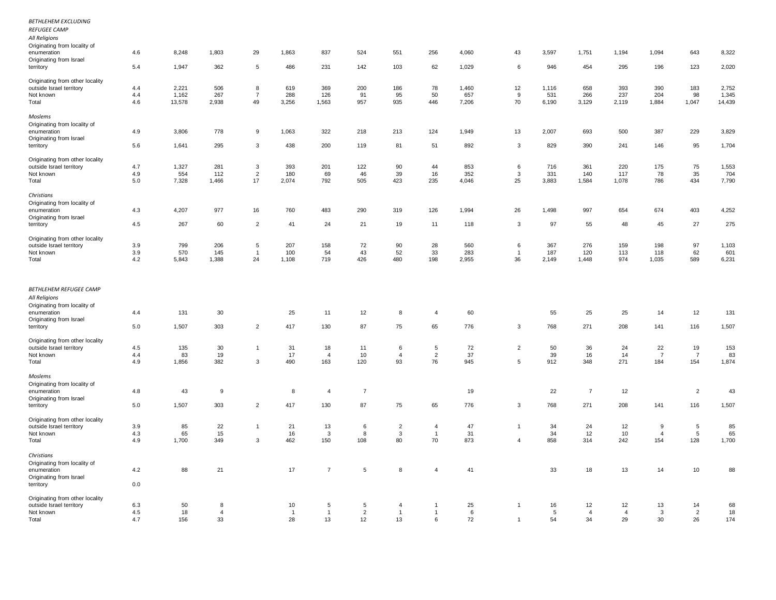| <b>BETHLEHEM EXCLUDING</b><br><b>REFUGEE CAMP</b><br>All Religions     |            |          |                |                |                |                    |                |                |                |          |                         |       |                |                |                |                          |          |
|------------------------------------------------------------------------|------------|----------|----------------|----------------|----------------|--------------------|----------------|----------------|----------------|----------|-------------------------|-------|----------------|----------------|----------------|--------------------------|----------|
| Originating from locality of<br>enumeration<br>Originating from Israel | 4.6        | 8,248    | 1,803          | 29             | 1,863          | 837                | 524            | 551            | 256            | 4,060    | 43                      | 3,597 | 1,751          | 1,194          | 1,094          | 643                      | 8,322    |
| territory                                                              | 5.4        | 1,947    | 362            | 5              | 486            | 231                | 142            | 103            | 62             | 1,029    | 6                       | 946   | 454            | 295            | 196            | 123                      | 2,020    |
| Originating from other locality                                        |            |          |                |                |                |                    |                |                |                |          |                         |       |                |                |                |                          |          |
| outside Israel territory                                               | 4.4        | 2,221    | 506            | 8              | 619            | 369                | 200            | 186            | 78             | 1,460    | 12                      | 1,116 | 658            | 393            | 390            | 183                      | 2,752    |
| Not known                                                              | 4.4        | 1,162    | 267            | $\overline{7}$ | 288            | 126                | 91             | 95             | 50             | 657      | 9                       | 531   | 266            | 237            | 204            | 98                       | 1,345    |
| Total                                                                  | 4.6        | 13,578   | 2,938          | 49             | 3,256          | 1,563              | 957            | 935            | 446            | 7,206    | 70                      | 6,190 | 3,129          | 2,119          | 1,884          | 1,047                    | 14,439   |
| Moslems                                                                |            |          |                |                |                |                    |                |                |                |          |                         |       |                |                |                |                          |          |
| Originating from locality of<br>enumeration                            | 4.9        | 3,806    | 778            | 9              | 1,063          | 322                | 218            | 213            | 124            | 1,949    | 13                      | 2,007 | 693            | 500            | 387            | 229                      | 3,829    |
| Originating from Israel                                                |            |          |                |                |                |                    |                |                |                |          |                         |       |                |                |                |                          |          |
| territory                                                              | 5.6        | 1,641    | 295            | 3              | 438            | 200                | 119            | 81             | 51             | 892      | 3                       | 829   | 390            | 241            | 146            | 95                       | 1,704    |
| Originating from other locality                                        |            |          |                |                |                |                    |                |                |                |          |                         |       |                |                |                |                          |          |
| outside Israel territory                                               | 4.7        | 1,327    | 281            | $\mathbf{3}$   | 393            | 201                | 122            | 90             | 44             | 853      | 6                       | 716   | 361            | 220            | 175            | 75                       | 1,553    |
| Not known                                                              | 4.9        | 554      | 112            | $\overline{2}$ | 180            | 69                 | 46             | 39             | 16             | 352      | $\mathbf{3}$            | 331   | 140            | 117            | 78             | 35                       | 704      |
| Total                                                                  | 5.0        | 7,328    | 1,466          | 17             | 2,074          | 792                | 505            | 423            | 235            | 4,046    | 25                      | 3,883 | 1,584          | 1,078          | 786            | 434                      | 7,790    |
| Christians                                                             |            |          |                |                |                |                    |                |                |                |          |                         |       |                |                |                |                          |          |
| Originating from locality of                                           |            |          |                |                |                |                    |                |                |                |          |                         |       |                |                |                |                          |          |
| enumeration                                                            | 4.3        | 4,207    | 977            | 16             | 760            | 483                | 290            | 319            | 126            | 1,994    | 26                      | 1,498 | 997            | 654            | 674            | 403                      | 4,252    |
| Originating from Israel                                                |            |          |                |                |                |                    |                |                |                |          |                         |       |                |                |                |                          |          |
| territory                                                              | 4.5        | 267      | 60             | $\overline{2}$ | 41             | 24                 | 21             | 19             | 11             | 118      | 3                       | 97    | 55             | 48             | 45             | 27                       | 275      |
| Originating from other locality                                        |            |          |                |                |                |                    |                |                |                |          |                         |       |                |                |                |                          |          |
| outside Israel territory                                               | 3.9        | 799      | 206            | 5              | 207            | 158                | 72             | 90             | 28             | 560      | 6                       | 367   | 276            | 159            | 198            | 97                       | 1,103    |
| Not known                                                              | 3.9        | 570      | 145            | $\overline{1}$ | 100            | 54                 | 43             | 52             | 33             | 283      | $\overline{1}$          | 187   | 120            | 113            | 118            | 62                       | 601      |
| Total                                                                  | 4.2        | 5,843    | 1,388          | 24             | 1,108          | 719                | 426            | 480            | 198            | 2,955    | 36                      | 2,149 | 1,448          | 974            | 1,035          | 589                      | 6,231    |
| <b>BETHLEHEM REFUGEE CAMP</b>                                          |            |          |                |                |                |                    |                |                |                |          |                         |       |                |                |                |                          |          |
| All Religions                                                          |            |          |                |                |                |                    |                |                |                |          |                         |       |                |                |                |                          |          |
| Originating from locality of                                           |            |          |                |                |                |                    |                |                |                |          |                         |       |                |                |                |                          |          |
| enumeration                                                            | 4.4        | 131      | 30             |                | 25             | 11                 | 12             | 8              | $\overline{4}$ | 60       |                         | 55    | 25             | 25             | 14             | 12                       | 131      |
| Originating from Israel                                                |            |          |                |                |                |                    |                |                |                |          |                         |       |                |                |                |                          |          |
| territory                                                              | 5.0        | 1,507    | 303            | $\overline{2}$ | 417            | 130                | 87             | 75             | 65             | 776      | 3                       | 768   | 271            | 208            | 141            | 116                      | 1,507    |
| Originating from other locality                                        |            |          |                |                |                |                    |                |                |                |          |                         |       |                |                |                |                          |          |
| outside Israel territory                                               | 4.5        | 135      | 30             | $\mathbf{1}$   | 31             | 18                 | 11             | 6              | $\sqrt{5}$     | 72       | $\overline{2}$          | 50    | 36             | 24             | 22             | 19                       | 153      |
| Not known                                                              | 4.4        | 83       | 19             |                | 17             | $\overline{4}$     | 10             | $\overline{4}$ | $\overline{2}$ | 37       |                         | 39    | 16             | 14             | $\overline{7}$ | $\overline{7}$           | 83       |
| Total                                                                  | 4.9        | 1,856    | 382            | 3              | 490            | 163                | 120            | 93             | 76             | 945      | 5                       | 912   | 348            | 271            | 184            | 154                      | 1,874    |
| Moslems                                                                |            |          |                |                |                |                    |                |                |                |          |                         |       |                |                |                |                          |          |
| Originating from locality of                                           |            |          |                |                |                |                    |                |                |                |          |                         |       |                |                |                |                          |          |
| enumeration                                                            | 4.8        | 43       | 9              |                | 8              | $\overline{4}$     | $\overline{7}$ |                |                | 19       |                         | 22    | $\overline{7}$ | 12             |                | $\overline{2}$           | 43       |
| Originating from Israel<br>territory                                   | 5.0        | 1,507    | 303            | $\overline{2}$ | 417            | 130                | 87             | 75             | 65             | 776      | 3                       | 768   | 271            | 208            | 141            | 116                      | 1,507    |
|                                                                        |            |          |                |                |                |                    |                |                |                |          |                         |       |                |                |                |                          |          |
| Originating from other locality                                        |            |          |                | $\mathbf{1}$   | 21             |                    | 6              | $\overline{2}$ | 4              |          | $\overline{1}$          | 34    | 24             |                | 9              |                          |          |
| outside Israel territory<br>Not known                                  | 3.9<br>4.3 | 85<br>65 | 22<br>15       |                | 16             | 13<br>$\mathbf{3}$ | 8              | 3              | $\mathbf{1}$   | 47<br>31 |                         | 34    | 12             | 12<br>10       | $\overline{a}$ | $\sqrt{5}$<br>$\sqrt{5}$ | 85<br>65 |
| Total                                                                  | 4.9        | 1,700    | 349            | 3              | 462            | 150                | 108            | 80             | 70             | 873      | $\overline{4}$          | 858   | 314            | 242            | 154            | 128                      | 1,700    |
|                                                                        |            |          |                |                |                |                    |                |                |                |          |                         |       |                |                |                |                          |          |
| Christians                                                             |            |          |                |                |                |                    |                |                |                |          |                         |       |                |                |                |                          |          |
| Originating from locality of<br>enumeration                            | 4.2        | 88       | 21             |                | 17             | $\overline{7}$     | 5              | 8              | $\overline{4}$ | 41       |                         | 33    | 18             | 13             | 14             | 10                       | 88       |
| Originating from Israel                                                |            |          |                |                |                |                    |                |                |                |          |                         |       |                |                |                |                          |          |
| territory                                                              | 0.0        |          |                |                |                |                    |                |                |                |          |                         |       |                |                |                |                          |          |
| Originating from other locality                                        |            |          |                |                |                |                    |                |                |                |          |                         |       |                |                |                |                          |          |
| outside Israel territory                                               | 6.3        | 50       | 8              |                | 10             | 5                  | 5              | 4              | 1              | 25       | $\overline{\mathbf{1}}$ | 16    | 12             | 12             | 13             | 14                       | 68       |
| Not known                                                              | 4.5        | 18       | $\overline{4}$ |                | $\overline{1}$ | $\overline{1}$     | $\overline{2}$ | $\overline{1}$ | $\mathbf{1}$   | 6        |                         | 5     | $\overline{4}$ | $\overline{4}$ | 3              | $\overline{2}$           | 18       |
| Total                                                                  | 4.7        | 156      | 33             |                | 28             | 13                 | 12             | 13             | 6              | 72       | $\overline{1}$          | 54    | 34             | 29             | 30             | 26                       | 174      |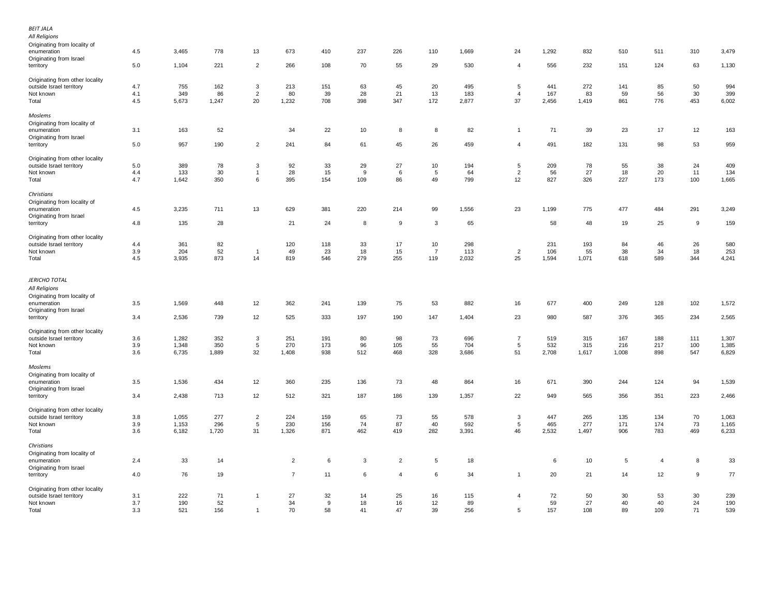| <b>BEIT JALA</b><br>All Religions<br>Originating from locality of<br>enumeration     | 4.5 | 3,465 | 778   | 13             | 673            | 410 | 237 | 226            | 110             | 1,669 | 24             | 1,292 | 832   | 510   | 511            | 310 | 3,479 |
|--------------------------------------------------------------------------------------|-----|-------|-------|----------------|----------------|-----|-----|----------------|-----------------|-------|----------------|-------|-------|-------|----------------|-----|-------|
| Originating from Israel                                                              |     |       |       |                |                |     |     |                |                 |       | $\overline{4}$ |       |       |       |                |     |       |
| territory                                                                            | 5.0 | 1,104 | 221   | $\overline{2}$ | 266            | 108 | 70  | 55             | 29              | 530   |                | 556   | 232   | 151   | 124            | 63  | 1,130 |
| Originating from other locality<br>outside Israel territory                          | 4.7 | 755   | 162   | 3              | 213            | 151 | 63  | 45             | 20              | 495   | 5              | 441   | 272   | 141   | 85             | 50  | 994   |
| Not known                                                                            | 4.1 | 349   | 86    | $\overline{2}$ | 80             | 39  | 28  | 21             | 13              | 183   | $\overline{4}$ | 167   | 83    | 59    | 56             | 30  | 399   |
| Total                                                                                | 4.5 | 5,673 | 1,247 | 20             | 1,232          | 708 | 398 | 347            | 172             | 2,877 | 37             | 2,456 | 1,419 | 861   | 776            | 453 | 6,002 |
| Moslems                                                                              |     |       |       |                |                |     |     |                |                 |       |                |       |       |       |                |     |       |
| Originating from locality of                                                         | 3.1 | 163   | 52    |                | 34             | 22  | 10  | 8              | 8               | 82    | $\overline{1}$ | 71    | 39    | 23    | 17             | 12  | 163   |
| enumeration<br>Originating from Israel                                               |     |       |       |                |                |     |     |                |                 |       |                |       |       |       |                |     |       |
| territory                                                                            | 5.0 | 957   | 190   | $\overline{c}$ | 241            | 84  | 61  | 45             | 26              | 459   | $\overline{4}$ | 491   | 182   | 131   | 98             | 53  | 959   |
|                                                                                      |     |       |       |                |                |     |     |                |                 |       |                |       |       |       |                |     |       |
| Originating from other locality                                                      |     |       |       |                |                |     |     |                |                 |       |                |       |       |       |                |     |       |
| outside Israel territory                                                             | 5.0 | 389   | 78    | 3              | 92             | 33  | 29  | 27             | 10              | 194   | 5              | 209   | 78    | 55    | 38             | 24  | 409   |
| Not known                                                                            | 4.4 | 133   | 30    | $\overline{1}$ | 28             | 15  | 9   | 6              | $5\phantom{.0}$ | 64    | $\overline{2}$ | 56    | 27    | 18    | 20             | 11  | 134   |
| Total                                                                                | 4.7 | 1,642 | 350   | 6              | 395            | 154 | 109 | 86             | 49              | 799   | 12             | 827   | 326   | 227   | 173            | 100 | 1,665 |
| Christians                                                                           |     |       |       |                |                |     |     |                |                 |       |                |       |       |       |                |     |       |
| Originating from locality of                                                         |     |       |       |                |                |     |     |                |                 |       |                |       |       |       |                |     |       |
| enumeration                                                                          | 4.5 | 3,235 | 711   | 13             | 629            | 381 | 220 | 214            | 99              | 1,556 | 23             | 1,199 | 775   | 477   | 484            | 291 | 3,249 |
| Originating from Israel                                                              |     |       |       |                |                |     |     |                |                 |       |                |       |       |       |                |     |       |
| territory                                                                            | 4.8 | 135   | 28    |                | 21             | 24  | 8   | 9              | 3               | 65    |                | 58    | 48    | 19    | 25             | 9   | 159   |
| Originating from other locality                                                      |     |       |       |                |                |     |     |                |                 |       |                |       |       |       |                |     |       |
| outside Israel territory                                                             | 4.4 | 361   | 82    |                | 120            | 118 | 33  | 17             | 10              | 298   |                | 231   | 193   | 84    | 46             | 26  | 580   |
| Not known                                                                            | 3.9 | 204   | 52    | $\overline{1}$ | 49             | 23  | 18  | 15             | $\overline{7}$  | 113   | $\overline{c}$ | 106   | 55    | 38    | 34             | 18  | 253   |
| Total                                                                                | 4.5 | 3,935 | 873   | 14             | 819            | 546 | 279 | 255            | 119             | 2,032 | 25             | 1,594 | 1,071 | 618   | 589            | 344 | 4,241 |
| <b>JERICHO TOTAL</b><br>All Religions<br>Originating from locality of<br>enumeration | 3.5 | 1,569 | 448   | 12             | 362            | 241 | 139 | 75             | 53              | 882   | 16             | 677   | 400   | 249   | 128            | 102 | 1,572 |
| Originating from Israel                                                              |     |       |       |                |                |     |     |                |                 |       |                |       |       |       |                |     |       |
| territory                                                                            | 3.4 | 2,536 | 739   | 12             | 525            | 333 | 197 | 190            | 147             | 1,404 | 23             | 980   | 587   | 376   | 365            | 234 | 2,565 |
| Originating from other locality                                                      |     |       |       |                |                |     |     |                |                 |       |                |       |       |       |                |     |       |
| outside Israel territory                                                             | 3.6 | 1,282 | 352   | $\mathbf{3}$   | 251            | 191 | 80  | 98             | 73              | 696   | $\overline{7}$ | 519   | 315   | 167   | 188            | 111 | 1,307 |
| Not known                                                                            | 3.9 | 1,348 | 350   | $\sqrt{5}$     | 270            | 173 | 96  | 105            | 55              | 704   | $\overline{5}$ | 532   | 315   | 216   | 217            | 100 | 1,385 |
| Total                                                                                | 3.6 | 6,735 | 1,889 | 32             | 1,408          | 938 | 512 | 468            | 328             | 3,686 | 51             | 2,708 | 1,617 | 1,008 | 898            | 547 | 6,829 |
| Moslems<br>Originating from locality of                                              |     |       |       |                |                |     |     |                |                 |       |                |       |       |       |                |     |       |
| enumeration                                                                          | 3.5 | 1,536 | 434   | 12             | 360            | 235 | 136 | 73             | 48              | 864   | 16             | 671   | 390   | 244   | 124            | 94  | 1,539 |
| Originating from Israel                                                              |     |       |       |                |                |     |     |                |                 |       |                |       |       |       |                |     |       |
| territory                                                                            | 3.4 | 2,438 | 713   | 12             | 512            | 321 | 187 | 186            | 139             | 1,357 | 22             | 949   | 565   | 356   | 351            | 223 | 2,466 |
| Originating from other locality                                                      |     |       |       |                |                |     |     |                |                 |       |                |       |       |       |                |     |       |
| outside Israel territory                                                             | 3.8 | 1,055 | 277   | $\overline{c}$ | 224            | 159 | 65  | 73             | 55              | 578   | $\mathbf{3}$   | 447   | 265   | 135   | 134            | 70  | 1,063 |
| Not known                                                                            | 3.9 | 1,153 | 296   | 5              | 230            | 156 | 74  | 87             | 40              | 592   | 5              | 465   | 277   | 171   | 174            | 73  | 1,165 |
| Total                                                                                | 3.6 | 6,182 | 1,720 | 31             | 1,326          | 871 | 462 | 419            | 282             | 3,391 | 46             | 2,532 | 1,497 | 906   | 783            | 469 | 6,233 |
| Christians<br>Originating from locality of                                           |     |       |       |                |                |     |     |                |                 |       |                |       |       |       |                |     |       |
| enumeration                                                                          | 2.4 | 33    | 14    |                | $\overline{2}$ | 6   | 3   | $\overline{a}$ | 5               | 18    |                | 6     | 10    | 5     | $\overline{4}$ | 8   | 33    |
| Originating from Israel                                                              |     |       |       |                |                |     |     |                |                 |       |                |       |       |       |                |     |       |
| territory                                                                            | 4.0 | 76    | 19    |                | $\overline{7}$ | 11  | 6   | $\overline{4}$ | 6               | 34    | $\overline{1}$ | 20    | 21    | 14    | 12             | 9   | 77    |
| Originating from other locality                                                      |     |       |       |                |                |     |     |                |                 |       |                |       |       |       |                |     |       |
| outside Israel territory                                                             | 3.1 | 222   | 71    | $\mathbf{1}$   | 27             | 32  | 14  | 25             | 16              | 115   | $\overline{4}$ | 72    | 50    | 30    | 53             | 30  | 239   |
| Not known                                                                            | 3.7 | 190   | 52    |                | 34             | 9   | 18  | 16             | 12              | 89    |                | 59    | 27    | 40    | 40             | 24  | 190   |
| Total                                                                                | 3.3 | 521   | 156   | $\overline{1}$ | 70             | 58  | 41  | 47             | 39              | 256   | $\,$ 5 $\,$    | 157   | 108   | 89    | 109            | 71  | 539   |
|                                                                                      |     |       |       |                |                |     |     |                |                 |       |                |       |       |       |                |     |       |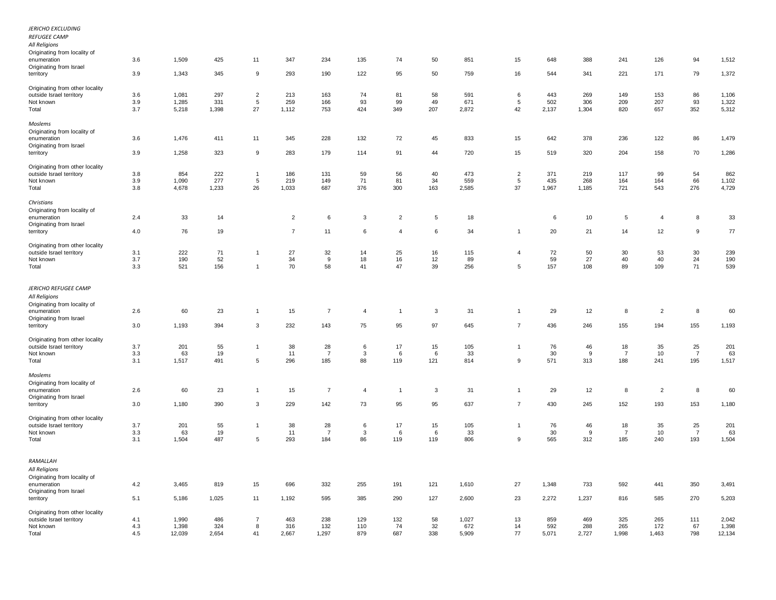| <b>JERICHO EXCLUDING</b><br><b>REFUGEE CAMP</b><br>All Religions                                                |     |        |       |                |                |                |                |                |                |       |                |       |       |                |                |                |        |
|-----------------------------------------------------------------------------------------------------------------|-----|--------|-------|----------------|----------------|----------------|----------------|----------------|----------------|-------|----------------|-------|-------|----------------|----------------|----------------|--------|
| Originating from locality of<br>enumeration<br>Originating from Israel                                          | 3.6 | 1,509  | 425   | 11             | 347            | 234            | 135            | 74             | 50             | 851   | 15             | 648   | 388   | 241            | 126            | 94             | 1,512  |
| territory                                                                                                       | 3.9 | 1,343  | 345   | 9              | 293            | 190            | 122            | 95             | 50             | 759   | 16             | 544   | 341   | 221            | 171            | 79             | 1,372  |
| Originating from other locality<br>outside Israel territory                                                     | 3.6 | 1,081  | 297   | $\overline{2}$ | 213            | 163            | 74             | 81             | 58             | 591   | 6              | 443   | 269   | 149            | 153            | 86             | 1,106  |
| Not known                                                                                                       | 3.9 | 1,285  | 331   | 5              | 259            | 166            | 93             | 99             | 49             | 671   | $\overline{5}$ | 502   | 306   | 209            | 207            | 93             | 1,322  |
| Total                                                                                                           | 3.7 | 5,218  | 1,398 | 27             | 1,112          | 753            | 424            | 349            | 207            | 2,872 | 42             | 2,137 | 1,304 | 820            | 657            | 352            | 5,312  |
| Moslems<br>Originating from locality of                                                                         |     |        |       |                |                |                |                |                |                |       |                |       |       |                |                |                |        |
| enumeration<br>Originating from Israel                                                                          | 3.6 | 1,476  | 411   | 11             | 345            | 228            | 132            | 72             | 45             | 833   | 15             | 642   | 378   | 236            | 122            | 86             | 1,479  |
| territory                                                                                                       | 3.9 | 1,258  | 323   | 9              | 283            | 179            | 114            | 91             | 44             | 720   | 15             | 519   | 320   | 204            | 158            | 70             | 1,286  |
| Originating from other locality<br>outside Israel territory                                                     | 3.8 | 854    | 222   | $\overline{1}$ | 186            | 131            | 59             | 56             | 40             | 473   | $\overline{2}$ | 371   | 219   | 117            | 99             | 54             | 862    |
| Not known                                                                                                       | 3.9 | 1,090  | 277   | 5              | 219            | 149            | 71             | 81             | 34             | 559   | 5              | 435   | 268   | 164            | 164            | 66             | 1,102  |
| Total                                                                                                           | 3.8 | 4,678  | 1,233 | 26             | 1,033          | 687            | 376            | 300            | 163            | 2,585 | 37             | 1,967 | 1,185 | 721            | 543            | 276            | 4,729  |
| Christians<br>Originating from locality of                                                                      |     |        |       |                |                |                |                |                |                |       |                |       |       |                |                |                |        |
| enumeration<br>Originating from Israel                                                                          | 2.4 | 33     | 14    |                | $\overline{2}$ | 6              | 3              | $\overline{2}$ | $\overline{5}$ | 18    |                | 6     | 10    | $\overline{5}$ | $\overline{4}$ | 8              | 33     |
| territory                                                                                                       | 4.0 | 76     | 19    |                | $\overline{7}$ | 11             | 6              | $\overline{4}$ | 6              | 34    | $\mathbf{1}$   | 20    | 21    | 14             | 12             | 9              | $77$   |
| Originating from other locality<br>outside Israel territory                                                     | 3.1 | 222    | 71    | $\mathbf{1}$   | 27             | 32             | 14             | 25             | 16             | 115   | $\overline{4}$ | 72    | 50    | 30             | 53             | $30\,$         | 239    |
| Not known                                                                                                       | 3.7 | 190    | 52    |                | 34             | 9              | 18             | 16             | 12             | 89    |                | 59    | 27    | 40             | 40             | 24             | 190    |
| Total                                                                                                           | 3.3 | 521    | 156   | $\mathbf{1}$   | 70             | 58             | 41             | 47             | 39             | 256   | 5              | 157   | 108   | 89             | 109            | 71             | 539    |
| JERICHO REFUGEE CAMP<br>All Religions<br>Originating from locality of<br>enumeration<br>Originating from Israel | 2.6 | 60     | 23    | $\mathbf{1}$   | 15             | $\overline{7}$ | $\overline{4}$ | $\overline{1}$ | 3              | 31    | $\overline{1}$ | 29    | 12    | 8              | $\overline{2}$ | 8              | 60     |
| territory                                                                                                       | 3.0 | 1,193  | 394   | 3              | 232            | 143            | 75             | 95             | 97             | 645   | $\overline{7}$ | 436   | 246   | 155            | 194            | 155            | 1,193  |
| Originating from other locality<br>outside Israel territory                                                     | 3.7 | 201    | 55    | $\mathbf{1}$   | 38             | 28             | 6              | 17             | 15             | 105   | $\mathbf{1}$   | 76    | 46    | 18             | 35             | 25             | 201    |
| Not known                                                                                                       | 3.3 | 63     | 19    |                | 11             | $\overline{7}$ | 3              | 6              | 6              | 33    |                | 30    | 9     | $\overline{7}$ | 10             | $\overline{7}$ | 63     |
| Total                                                                                                           | 3.1 | 1,517  | 491   | 5              | 296            | 185            | 88             | 119            | 121            | 814   | 9              | 571   | 313   | 188            | 241            | 195            | 1,517  |
| Moslems<br>Originating from locality of<br>enumeration                                                          | 2.6 | 60     | 23    | $\overline{1}$ | 15             | $\overline{7}$ | $\overline{4}$ | $\overline{1}$ | 3              | 31    | $\mathbf{1}$   | 29    | 12    | 8              | $\overline{2}$ | 8              | 60     |
| Originating from Israel<br>territory                                                                            | 3.0 | 1,180  | 390   | $\mathbf{3}$   | 229            | 142            | 73             | 95             | 95             | 637   | $\overline{7}$ | 430   | 245   | 152            | 193            | 153            | 1,180  |
| Originating from other locality                                                                                 |     |        |       |                |                |                |                |                |                |       |                |       |       |                |                |                |        |
| outside Israel territory                                                                                        | 3.7 | 201    | 55    | $\mathbf{1}$   | 38             | 28             | 6              | 17             | 15             | 105   | $\overline{1}$ | 76    | 46    | 18             | 35             | 25             | 201    |
| Not known                                                                                                       | 3.3 | 63     | 19    |                | 11             | $\overline{7}$ | 3              | 6              | 6              | 33    |                | 30    | 9     | $\overline{7}$ | 10             | $\overline{7}$ | 63     |
| Total                                                                                                           | 3.1 | 1,504  | 487   | 5              | 293            | 184            | 86             | 119            | 119            | 806   | 9              | 565   | 312   | 185            | 240            | 193            | 1,504  |
| RAMALLAH<br>All Religions<br>Originating from locality of<br>enumeration                                        | 4.2 | 3,465  | 819   | 15             | 696            | 332            | 255            | 191            | 121            | 1,610 | 27             | 1,348 | 733   | 592            | 441            | 350            | 3,491  |
| Originating from Israel                                                                                         |     |        |       |                |                |                |                |                |                |       |                |       |       |                |                |                |        |
| territory<br>Originating from other locality                                                                    | 5.1 | 5,186  | 1,025 | 11             | 1,192          | 595            | 385            | 290            | 127            | 2,600 | 23             | 2,272 | 1,237 | 816            | 585            | 270            | 5,203  |
| outside Israel territory                                                                                        | 4.1 | 1,990  | 486   | $\overline{7}$ | 463            | 238            | 129            | 132            | 58             | 1,027 | 13             | 859   | 469   | 325            | 265            | 111            | 2,042  |
| Not known                                                                                                       | 4.3 | 1,398  | 324   | 8              | 316            | 132            | 110            | 74             | 32             | 672   | 14             | 592   | 288   | 265            | 172            | 67             | 1,398  |
| Total                                                                                                           | 4.5 | 12,039 | 2,654 | 41             | 2,667          | 1,297          | 879            | 687            | 338            | 5,909 | 77             | 5,071 | 2,727 | 1,998          | 1,463          | 798            | 12,134 |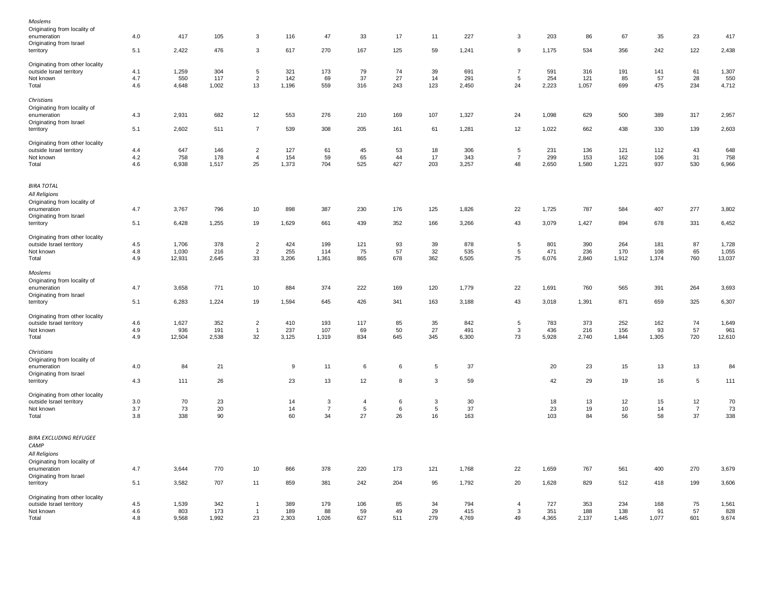| Moslems                              |     |           |       |                |       |                |                 |     |                 |       |                |       |          |       |       |                |          |
|--------------------------------------|-----|-----------|-------|----------------|-------|----------------|-----------------|-----|-----------------|-------|----------------|-------|----------|-------|-------|----------------|----------|
| Originating from locality of         |     |           |       |                |       |                |                 |     |                 |       |                |       |          |       |       |                |          |
| enumeration                          | 4.0 | 417       | 105   | 3              | 116   | 47             | 33              | 17  | 11              | 227   | 3              | 203   | 86       | 67    | 35    | 23             | 417      |
| Originating from Israel              |     |           |       |                |       |                |                 |     |                 |       |                |       |          |       |       |                |          |
| territory                            | 5.1 | 2,422     | 476   | 3              | 617   | 270            | 167             | 125 | 59              | 1,241 | 9              | 1,175 | 534      | 356   | 242   | 122            | 2,438    |
| Originating from other locality      |     |           |       |                |       |                |                 |     |                 |       |                |       |          |       |       |                |          |
| outside Israel territory             | 4.1 | 1,259     | 304   | $\sqrt{5}$     | 321   | 173            | 79              | 74  | 39              | 691   | $\overline{7}$ | 591   | 316      | 191   | 141   | 61             | 1,307    |
| Not known                            | 4.7 | 550       | 117   | $\overline{2}$ | 142   | 69             | 37              | 27  | 14              | 291   | $\sqrt{5}$     | 254   | 121      | 85    | 57    | 28             | 550      |
| Total                                | 4.6 | 4,648     | 1,002 | 13             | 1,196 | 559            | 316             | 243 | 123             | 2,450 | 24             | 2,223 | 1,057    | 699   | 475   | 234            | 4,712    |
| Christians                           |     |           |       |                |       |                |                 |     |                 |       |                |       |          |       |       |                |          |
| Originating from locality of         |     |           |       |                |       |                |                 |     |                 |       |                |       |          |       |       |                |          |
| enumeration                          | 4.3 | 2,931     | 682   | 12             | 553   | 276            | 210             | 169 | 107             | 1,327 | 24             | 1,098 | 629      | 500   | 389   | 317            | 2,957    |
| Originating from Israel              |     |           |       |                |       |                |                 |     |                 |       |                |       |          |       |       |                |          |
| territory                            | 5.1 | 2,602     | 511   | $\overline{7}$ | 539   | 308            | 205             | 161 | 61              | 1,281 | 12             | 1,022 | 662      | 438   | 330   | 139            | 2,603    |
|                                      |     |           |       |                |       |                |                 |     |                 |       |                |       |          |       |       |                |          |
| Originating from other locality      |     |           |       |                |       |                |                 |     |                 |       |                |       |          |       |       |                |          |
| outside Israel territory             | 4.4 | 647       | 146   | $\overline{2}$ | 127   | 61             | 45              | 53  | 18              | 306   | 5              | 231   | 136      | 121   | 112   | 43             | 648      |
| Not known                            | 4.2 | 758       | 178   | $\overline{4}$ | 154   | 59             | 65              | 44  | 17              | 343   | $\overline{7}$ | 299   | 153      | 162   | 106   | 31             | 758      |
| Total                                | 4.6 | 6,938     | 1,517 | 25             | 1,373 | 704            | 525             | 427 | 203             | 3,257 | 48             | 2,650 | 1,580    | 1,221 | 937   | 530            | 6,966    |
| <b>BIRA TOTAL</b>                    |     |           |       |                |       |                |                 |     |                 |       |                |       |          |       |       |                |          |
| All Religions                        |     |           |       |                |       |                |                 |     |                 |       |                |       |          |       |       |                |          |
|                                      |     |           |       |                |       |                |                 |     |                 |       |                |       |          |       |       |                |          |
| Originating from locality of         |     |           |       |                |       |                |                 |     |                 |       |                |       |          |       |       |                |          |
| enumeration                          | 4.7 | 3,767     | 796   | 10             | 898   | 387            | 230             | 176 | 125             | 1,826 | 22             | 1,725 | 787      | 584   | 407   | 277            | 3,802    |
| Originating from Israel              |     |           |       |                |       |                |                 |     |                 |       |                |       |          |       |       |                |          |
| territory                            | 5.1 | 6,428     | 1,255 | 19             | 1,629 | 661            | 439             | 352 | 166             | 3,266 | 43             | 3,079 | 1,427    | 894   | 678   | 331            | 6,452    |
| Originating from other locality      |     |           |       |                |       |                |                 |     |                 |       |                |       |          |       |       |                |          |
| outside Israel territory             | 4.5 | 1,706     | 378   | $\overline{c}$ | 424   | 199            | 121             | 93  | 39              | 878   | $\sqrt{5}$     | 801   | 390      | 264   | 181   | 87             | 1,728    |
| Not known                            | 4.8 | 1,030     | 216   | $\overline{2}$ | 255   | 114            | 75              | 57  | 32              | 535   | $\overline{5}$ | 471   | 236      | 170   | 108   | 65             | 1,055    |
| Total                                | 4.9 | 12,931    | 2,645 | 33             | 3,206 | 1,361          | 865             | 678 | 362             | 6,505 | 75             | 6,076 | 2,840    | 1,912 | 1,374 | 760            | 13,037   |
| Moslems                              |     |           |       |                |       |                |                 |     |                 |       |                |       |          |       |       |                |          |
| Originating from locality of         |     |           |       |                |       |                |                 |     |                 |       |                |       |          |       |       |                |          |
| enumeration                          | 4.7 | 3,658     | 771   | 10             | 884   | 374            | 222             | 169 | 120             | 1,779 | 22             | 1,691 | 760      | 565   | 391   | 264            | 3,693    |
| Originating from Israel              |     |           |       |                |       |                |                 |     |                 |       |                |       |          |       |       |                |          |
| territory                            | 5.1 | 6,283     | 1,224 | 19             | 1,594 | 645            | 426             | 341 | 163             | 3,188 | 43             | 3,018 | 1,391    | 871   | 659   | 325            | 6,307    |
|                                      |     |           |       |                |       |                |                 |     |                 |       |                |       |          |       |       |                |          |
| Originating from other locality      |     |           |       |                |       |                |                 |     |                 |       |                |       |          |       |       |                |          |
| outside Israel territory             | 4.6 | 1,627     | 352   | $\overline{2}$ | 410   | 193            | 117             | 85  | 35              | 842   | 5              | 783   | 373      | 252   | 162   | 74             | 1,649    |
| Not known                            | 4.9 | 936       | 191   | $\overline{1}$ | 237   | 107            | 69              | 50  | 27              | 491   | $\mathbf{3}$   | 436   | 216      | 156   | 93    | 57             | 961      |
| Total                                | 4.9 | 12,504    | 2,538 | 32             | 3,125 | 1,319          | 834             | 645 | 345             | 6,300 | 73             | 5,928 | 2,740    | 1,844 | 1,305 | 720            | 12,610   |
| Christians                           |     |           |       |                |       |                |                 |     |                 |       |                |       |          |       |       |                |          |
| Originating from locality of         |     |           |       |                |       |                |                 |     |                 |       |                |       |          |       |       |                |          |
| enumeration                          | 4.0 | 84        | 21    |                | 9     | 11             | 6               | 6   | 5               | 37    |                | 20    | 23       | 15    | 13    | 13             | 84       |
| Originating from Israel              |     |           |       |                |       |                |                 |     |                 |       |                |       |          |       |       |                |          |
| territory                            | 4.3 | 111       | 26    |                | 23    | 13             | 12              | 8   | 3               | 59    |                | 42    | 29       | 19    | 16    | 5              | 111      |
| Originating from other locality      |     |           |       |                |       |                |                 |     |                 |       |                |       |          |       |       |                |          |
|                                      | 3.0 | 70        | 23    |                | 14    | 3              | $\overline{4}$  | 6   | 3               | 30    |                | 18    | 13       | 12    | 15    | 12             |          |
| outside Israel territory             | 3.7 |           | 20    |                | 14    | $\overline{7}$ | $5\phantom{.0}$ | 6   | $5\phantom{.0}$ | 37    |                | 23    |          | 10    | 14    | $\overline{7}$ | 70<br>73 |
| Not known<br>Total                   | 3.8 | 73<br>338 | 90    |                | 60    | 34             | 27              | 26  | 16              | 163   |                | 103   | 19<br>84 | 56    | 58    | 37             | 338      |
|                                      |     |           |       |                |       |                |                 |     |                 |       |                |       |          |       |       |                |          |
| <b>BIRA EXCLUDING REFUGEE</b>        |     |           |       |                |       |                |                 |     |                 |       |                |       |          |       |       |                |          |
| CAMP                                 |     |           |       |                |       |                |                 |     |                 |       |                |       |          |       |       |                |          |
| All Religions                        |     |           |       |                |       |                |                 |     |                 |       |                |       |          |       |       |                |          |
| Originating from locality of         |     |           |       |                |       |                |                 |     |                 |       |                |       |          |       |       |                |          |
| enumeration                          | 4.7 | 3,644     | 770   | 10             | 866   | 378            | 220             | 173 | 121             | 1,768 | 22             | 1,659 | 767      | 561   | 400   | 270            | 3,679    |
|                                      |     |           |       |                |       |                |                 |     |                 |       |                |       |          |       |       |                |          |
| Originating from Israel<br>territory | 5.1 | 3,582     | 707   | 11             | 859   | 381            | 242             | 204 | 95              | 1,792 | 20             | 1,628 | 829      | 512   | 418   | 199            | 3,606    |
|                                      |     |           |       |                |       |                |                 |     |                 |       |                |       |          |       |       |                |          |
| Originating from other locality      |     |           |       |                |       |                |                 |     |                 |       |                |       |          |       |       |                |          |
| outside Israel territory             | 4.5 | 1,539     | 342   | $\overline{1}$ | 389   | 179            | 106             | 85  | 34              | 794   | $\overline{4}$ | 727   | 353      | 234   | 168   | 75             | 1,561    |
| Not known                            | 4.6 | 803       | 173   | $\overline{1}$ | 189   | 88             | 59              | 49  | 29              | 415   | 3              | 351   | 188      | 138   | 91    | 57             | 828      |
| Total                                | 4.8 | 9,568     | 1,992 | 23             | 2,303 | 1,026          | 627             | 511 | 279             | 4,769 | 49             | 4,365 | 2,137    | 1,445 | 1,077 | 601            | 9,674    |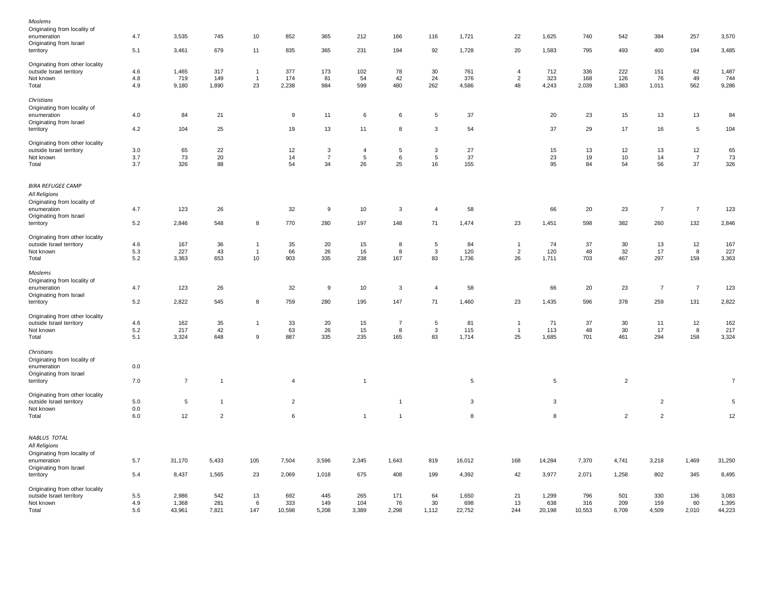| Moslems                                                     |         |                |                |                |                |                |                |                |                |        |                |        |        |                |                |                 |                |
|-------------------------------------------------------------|---------|----------------|----------------|----------------|----------------|----------------|----------------|----------------|----------------|--------|----------------|--------|--------|----------------|----------------|-----------------|----------------|
| Originating from locality of                                |         |                |                |                |                |                |                |                |                |        |                |        |        |                |                |                 |                |
| enumeration                                                 | 4.7     | 3,535          | 745            | 10             | 852            | 365            | 212            | 166            | 116            | 1,721  | 22             | 1,625  | 740    | 542            | 384            | 257             | 3,570          |
| Originating from Israel                                     |         |                |                |                |                |                |                |                |                |        |                |        |        |                |                |                 |                |
| territory                                                   | 5.1     | 3,461          | 679            | 11             | 835            | 365            | 231            | 194            | 92             | 1,728  | 20             | 1,583  | 795    | 493            | 400            | 194             | 3,485          |
|                                                             |         |                |                |                |                |                |                |                |                |        |                |        |        |                |                |                 |                |
| Originating from other locality                             |         |                |                |                |                |                |                |                |                |        |                |        |        |                |                |                 |                |
| outside Israel territory                                    | 4.6     | 1,465          | 317            | $\mathbf{1}$   | 377            | 173            | 102            | 78             | 30             | 761    | $\overline{4}$ | 712    | 336    | 222            | 151            | 62              | 1,487          |
| Not known                                                   | 4.8     | 719            | 149            | $\overline{1}$ | 174            | 81             | 54             | 42             | 24             | 376    | $\overline{2}$ | 323    | 168    | 126            | 76             | 49              | 744            |
|                                                             | 4.9     |                |                | 23             |                | 984            | 599            | 480            | 262            |        | 48             |        |        | 1,383          |                | 562             | 9,286          |
| Total                                                       |         | 9,180          | 1,890          |                | 2,238          |                |                |                |                | 4,586  |                | 4,243  | 2,039  |                | 1,011          |                 |                |
| Christians                                                  |         |                |                |                |                |                |                |                |                |        |                |        |        |                |                |                 |                |
|                                                             |         |                |                |                |                |                |                |                |                |        |                |        |        |                |                |                 |                |
| Originating from locality of                                |         |                |                |                |                |                |                |                |                |        |                |        |        |                |                |                 |                |
| enumeration                                                 | 4.0     | 84             | 21             |                | 9              | 11             | 6              | 6              | $\sqrt{5}$     | 37     |                | 20     | 23     | 15             | 13             | 13              | 84             |
| Originating from Israel                                     |         |                |                |                |                |                |                |                |                |        |                |        |        |                |                |                 |                |
| territory                                                   | 4.2     | 104            | 25             |                | 19             | 13             | 11             | 8              | 3              | 54     |                | 37     | 29     | 17             | 16             | $5\phantom{.0}$ | 104            |
|                                                             |         |                |                |                |                |                |                |                |                |        |                |        |        |                |                |                 |                |
| Originating from other locality                             |         |                |                |                |                |                |                |                |                |        |                |        |        |                |                |                 |                |
| outside Israel territory                                    | 3.0     | 65             | 22             |                | 12             | 3              | $\overline{4}$ | $\sqrt{5}$     | 3              | 27     |                | 15     | 13     | 12             | 13             | 12              | 65             |
| Not known                                                   | 3.7     | 73             | 20             |                | 14             | $\overline{7}$ | 5              | 6              | 5              | 37     |                | 23     | 19     | 10             | 14             | $\overline{7}$  | 73             |
| Total                                                       | 3.7     | 326            | 88             |                | 54             | 34             | 26             | 25             | 16             | 155    |                | 95     | 84     | 54             | 56             | 37              | 326            |
|                                                             |         |                |                |                |                |                |                |                |                |        |                |        |        |                |                |                 |                |
|                                                             |         |                |                |                |                |                |                |                |                |        |                |        |        |                |                |                 |                |
| <b>BIRA REFUGEE CAMP</b>                                    |         |                |                |                |                |                |                |                |                |        |                |        |        |                |                |                 |                |
| All Religions                                               |         |                |                |                |                |                |                |                |                |        |                |        |        |                |                |                 |                |
| Originating from locality of                                |         |                |                |                |                |                |                |                |                |        |                |        |        |                |                |                 |                |
| enumeration                                                 | 4.7     | 123            | 26             |                | 32             | 9              | 10             | 3              | $\overline{4}$ | 58     |                | 66     | 20     | 23             | $\overline{7}$ | $\overline{7}$  | 123            |
| Originating from Israel                                     |         |                |                |                |                |                |                |                |                |        |                |        |        |                |                |                 |                |
|                                                             | 5.2     | 2,846          | 548            | 8              | 770            | 280            | 197            | 148            | 71             | 1,474  | 23             | 1,451  | 598    | 382            | 260            | 132             | 2,846          |
| territory                                                   |         |                |                |                |                |                |                |                |                |        |                |        |        |                |                |                 |                |
| Originating from other locality                             |         |                |                |                |                |                |                |                |                |        |                |        |        |                |                |                 |                |
| outside Israel territory                                    | 4.6     | 167            | 36             | $\mathbf{1}$   | 35             | 20             | 15             | 8              | 5              | 84     | $\overline{1}$ | 74     | 37     | 30             | 13             | 12              | 167            |
| Not known                                                   | 5.3     | 227            | 43             | $\mathbf{1}$   | 66             | 26             | 16             | 8              | 3              | 120    | $\overline{2}$ | 120    | 48     | 32             | 17             | 8               | 227            |
|                                                             |         |                |                | 10             |                |                |                |                |                |        | 26             |        |        |                |                |                 |                |
| Total                                                       | 5.2     | 3,363          | 653            |                | 903            | 335            | 238            | 167            | 83             | 1,736  |                | 1,711  | 703    | 467            | 297            | 159             | 3,363          |
| Moslems                                                     |         |                |                |                |                |                |                |                |                |        |                |        |        |                |                |                 |                |
|                                                             |         |                |                |                |                |                |                |                |                |        |                |        |        |                |                |                 |                |
| Originating from locality of                                |         |                |                |                |                |                |                |                |                |        |                |        |        |                |                |                 |                |
| enumeration                                                 | 4.7     | 123            | 26             |                | 32             | 9              | 10             | 3              | $\overline{4}$ | 58     |                | 66     | 20     | 23             | $\overline{7}$ | $\overline{7}$  | 123            |
| Originating from Israel                                     |         |                |                |                |                |                |                |                |                |        |                |        |        |                |                |                 |                |
| territory                                                   | 5.2     | 2,822          | 545            | 8              | 759            | 280            | 195            | 147            | 71             | 1,460  | 23             | 1,435  | 596    | 378            | 259            | 131             | 2,822          |
|                                                             |         |                |                |                |                |                |                |                |                |        |                |        |        |                |                |                 |                |
| Originating from other locality                             |         |                |                |                |                |                |                |                |                |        |                |        |        |                |                |                 |                |
| outside Israel territory                                    | 4.6     | 162            | 35             | $\overline{1}$ | 33             | 20             | 15             | $\overline{7}$ | $\overline{5}$ | 81     | $\overline{1}$ | 71     | 37     | 30             | 11             | 12              | 162            |
| Not known                                                   | $5.2\,$ | 217            | 42             |                | 63             | 26             | 15             | 8              | $\mathbf{3}$   | 115    | $\overline{1}$ | 113    | 48     | 30             | 17             | 8               | 217            |
| Total                                                       | 5.1     | 3,324          | 648            | 9              | 887            | 335            | 235            | 165            | 83             | 1,714  | 25             | 1,685  | 701    | 461            | 294            | 158             | 3,324          |
|                                                             |         |                |                |                |                |                |                |                |                |        |                |        |        |                |                |                 |                |
| Christians                                                  |         |                |                |                |                |                |                |                |                |        |                |        |        |                |                |                 |                |
| Originating from locality of                                |         |                |                |                |                |                |                |                |                |        |                |        |        |                |                |                 |                |
| enumeration                                                 | $0.0\,$ |                |                |                |                |                |                |                |                |        |                |        |        |                |                |                 |                |
| Originating from Israel                                     |         |                |                |                |                |                |                |                |                |        |                |        |        |                |                |                 |                |
| territory                                                   | 7.0     | $\overline{7}$ | $\overline{1}$ |                | $\overline{4}$ |                | $\overline{1}$ |                |                | 5      |                | 5      |        | $\overline{2}$ |                |                 | $\overline{7}$ |
|                                                             |         |                |                |                |                |                |                |                |                |        |                |        |        |                |                |                 |                |
| Originating from other locality                             |         |                |                |                |                |                |                |                |                |        |                |        |        |                |                |                 |                |
| outside Israel territory                                    | $5.0\,$ | $\sqrt{5}$     | $\mathbf{1}$   |                | $\overline{2}$ |                |                | $\overline{1}$ |                | 3      |                | 3      |        |                | $\overline{c}$ |                 | 5              |
|                                                             |         |                |                |                |                |                |                |                |                |        |                |        |        |                |                |                 |                |
| Not known                                                   | $0.0\,$ |                |                |                |                |                |                |                |                |        |                |        |        |                |                |                 |                |
| Total                                                       | 6.0     | 12             | $\overline{2}$ |                | 6              |                | $\overline{1}$ | $\overline{1}$ |                | 8      |                | 8      |        | $\overline{c}$ | $\overline{2}$ |                 | 12             |
|                                                             |         |                |                |                |                |                |                |                |                |        |                |        |        |                |                |                 |                |
| NABLUS TOTAL                                                |         |                |                |                |                |                |                |                |                |        |                |        |        |                |                |                 |                |
| All Religions                                               |         |                |                |                |                |                |                |                |                |        |                |        |        |                |                |                 |                |
| Originating from locality of                                |         |                |                |                |                |                |                |                |                |        |                |        |        |                |                |                 |                |
|                                                             |         |                |                |                |                |                |                |                |                |        |                |        |        |                |                |                 |                |
| enumeration                                                 | 5.7     | 31,170         | 5,433          | 105            | 7,504          | 3,596          | 2,345          | 1,643          | 819            | 16,012 | 168            | 14,284 | 7,370  | 4,741          | 3,218          | 1,469           | 31,250         |
| Originating from Israel                                     |         |                |                |                |                |                |                |                |                |        |                |        |        |                |                |                 |                |
| territory                                                   | 5.4     | 8,437          | 1,565          | 23             | 2,069          | 1,018          | 675            | 408            | 199            | 4,392  | 42             | 3,977  | 2,071  | 1,258          | 802            | 345             | 8,495          |
|                                                             |         |                |                |                |                |                |                |                |                |        |                |        |        |                |                |                 |                |
| Originating from other locality<br>outside Israel territory | 5.5     | 2,986          | 542            |                | 692            | 445            | 265            | 171            |                | 1,650  | 21             | 1,299  | 796    | 501            | 330            | 136             | 3,083          |
|                                                             |         |                |                | 13             |                |                |                |                | 64             |        |                |        |        |                |                |                 |                |
| Not known                                                   | 4.9     | 1,368          | 281            | 6              | 333            | 149            | 104            | 76             | 30             | 698    | 13             | 638    | 316    | 209            | 159            | 60              | 1,395          |
| Total                                                       | 5.6     | 43,961         | 7,821          | 147            | 10,598         | 5,208          | 3,389          | 2,298          | 1,112          | 22,752 | 244            | 20,198 | 10,553 | 6,709          | 4,509          | 2,010           | 44,223         |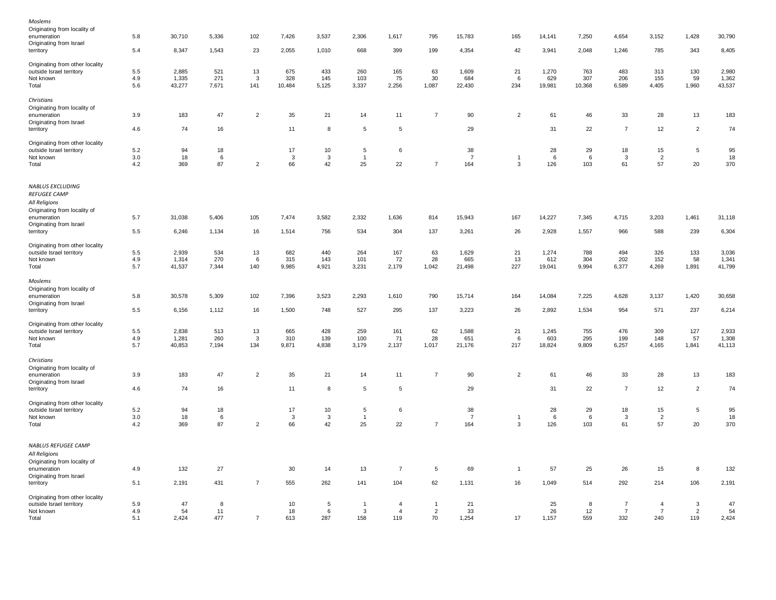| Moslems                                                              |         |        |       |                |        |                |                |                |                 |                |                |        |        |                |                |                |        |
|----------------------------------------------------------------------|---------|--------|-------|----------------|--------|----------------|----------------|----------------|-----------------|----------------|----------------|--------|--------|----------------|----------------|----------------|--------|
| Originating from locality of                                         |         |        |       |                |        |                |                |                |                 |                |                |        |        |                |                |                |        |
| enumeration                                                          | 5.8     | 30,710 | 5,336 | 102            | 7,426  | 3,537          | 2,306          | 1,617          | 795             | 15,783         | 165            | 14,141 | 7,250  | 4,654          | 3,152          | 1,428          | 30,790 |
| Originating from Israel                                              |         |        |       |                |        |                |                |                |                 |                |                |        |        |                |                |                |        |
| territory                                                            | 5.4     | 8,347  | 1,543 | 23             | 2,055  | 1,010          | 668            | 399            | 199             | 4,354          | 42             | 3,941  | 2,048  | 1,246          | 785            | 343            | 8,405  |
| Originating from other locality                                      |         |        |       |                |        |                |                |                |                 |                |                |        |        |                |                |                |        |
| outside Israel territory                                             | $5.5\,$ | 2,885  | 521   | 13             | 675    | 433            | 260            | 165            | 63              | 1,609          | 21             | 1,270  | 763    | 483            | 313            | 130            | 2,980  |
| Not known                                                            | 4.9     | 1,335  | 271   | 3              | 328    | 145            | 103            | 75             | 30              | 684            | 6              | 629    | 307    | 206            | 155            | 59             | 1,362  |
|                                                                      |         |        |       | 141            |        |                |                | 2,256          |                 | 22,430         | 234            |        |        | 6,589          | 4,405          |                |        |
| Total                                                                | 5.6     | 43,277 | 7,671 |                | 10,484 | 5,125          | 3,337          |                | 1,087           |                |                | 19,981 | 10,368 |                |                | 1,960          | 43,537 |
| Christians                                                           |         |        |       |                |        |                |                |                |                 |                |                |        |        |                |                |                |        |
| Originating from locality of                                         |         |        |       |                |        |                |                |                |                 |                |                |        |        |                |                |                |        |
| enumeration                                                          | 3.9     | 183    | 47    | $\overline{2}$ | 35     | 21             | 14             | 11             | $\overline{7}$  | 90             | $\overline{2}$ | 61     | 46     | 33             | 28             | 13             | 183    |
| Originating from Israel                                              |         |        |       |                |        |                |                |                |                 |                |                |        |        |                |                |                |        |
| territory                                                            | 4.6     | 74     | 16    |                | 11     | 8              | 5              | 5              |                 | 29             |                | 31     | 22     | $\overline{7}$ | 12             | $\overline{2}$ | 74     |
| Originating from other locality                                      |         |        |       |                |        |                |                |                |                 |                |                |        |        |                |                |                |        |
| outside Israel territory                                             | $5.2\,$ | 94     | 18    |                | 17     | $10$           | 5              | 6              |                 | 38             |                | 28     | 29     | 18             | 15             | $\sqrt{5}$     | 95     |
|                                                                      | 3.0     | 18     | 6     |                |        | $\mathbf{3}$   | $\overline{1}$ |                |                 | $\overline{7}$ | $\overline{1}$ | 6      | 6      | 3              | $\overline{2}$ |                | 18     |
| Not known                                                            |         |        |       |                | 3      |                |                |                |                 |                |                |        |        |                |                |                |        |
| Total                                                                | 4.2     | 369    | 87    | $\overline{c}$ | 66     | 42             | 25             | 22             | $\overline{7}$  | 164            | 3              | 126    | 103    | 61             | 57             | 20             | 370    |
| NABLUS EXCLUDING<br><b>REFUGEE CAMP</b><br>All Religions             |         |        |       |                |        |                |                |                |                 |                |                |        |        |                |                |                |        |
| Originating from locality of<br>enumeration                          | 5.7     | 31,038 | 5,406 | 105            | 7,474  | 3,582          | 2,332          | 1,636          | 814             | 15,943         | 167            | 14,227 | 7,345  | 4,715          | 3,203          | 1,461          | 31,118 |
| Originating from Israel                                              |         |        |       |                |        |                |                |                |                 |                |                |        |        |                |                |                |        |
| territory                                                            | 5.5     | 6,246  | 1,134 | 16             | 1,514  | 756            | 534            | 304            | 137             | 3,261          | 26             | 2,928  | 1,557  | 966            | 588            | 239            | 6,304  |
| Originating from other locality                                      |         |        |       |                |        |                |                |                |                 |                |                |        |        |                |                |                |        |
|                                                                      | 5.5     | 2,939  | 534   | 13             | 682    | 440            | 264            | 167            | 63              | 1,629          | 21             | 1,274  | 788    | 494            | 326            | 133            | 3,036  |
| outside Israel territory                                             | 4.9     |        | 270   |                |        | 143            | 101            | 72             | 28              |                | 13             |        | 304    | 202            | 152            | 58             | 1,341  |
| Not known                                                            |         | 1,314  |       | 6              | 315    |                |                |                |                 | 665            |                | 612    |        |                |                |                |        |
| Total                                                                | 5.7     | 41,537 | 7,344 | 140            | 9,985  | 4,921          | 3,231          | 2,179          | 1,042           | 21,498         | 227            | 19,041 | 9,994  | 6,377          | 4,269          | 1,891          | 41,799 |
| Moslems                                                              |         |        |       |                |        |                |                |                |                 |                |                |        |        |                |                |                |        |
| Originating from locality of                                         |         |        |       |                |        |                |                |                |                 |                |                |        |        |                |                |                |        |
| enumeration                                                          | 5.8     | 30,578 | 5,309 | 102            | 7,396  | 3,523          | 2,293          | 1,610          | 790             | 15,714         | 164            | 14,084 | 7,225  | 4,628          | 3,137          | 1,420          | 30,658 |
| Originating from Israel                                              |         |        |       |                |        |                |                |                |                 |                |                |        |        |                |                |                |        |
| territory                                                            | $5.5\,$ | 6,156  | 1,112 | 16             | 1,500  | 748            | 527            | 295            | 137             | 3,223          | 26             | 2,892  | 1,534  | 954            | 571            | 237            | 6,214  |
|                                                                      |         |        |       |                |        |                |                |                |                 |                |                |        |        |                |                |                |        |
| Originating from other locality                                      |         |        |       |                |        |                |                |                |                 |                |                |        |        |                |                |                |        |
| outside Israel territory                                             | 5.5     | 2,838  | 513   | 13             | 665    | 428            | 259            | 161            | 62              | 1,588          | 21             | 1,245  | 755    | 476            | 309            | 127            | 2,933  |
| Not known                                                            | 4.9     | 1,281  | 260   | 3              | 310    | 139            | 100            | 71             | 28              | 651            | 6              | 603    | 295    | 199            | 148            | 57             | 1,308  |
| Total                                                                | 5.7     | 40,853 | 7,194 | 134            | 9,871  | 4,838          | 3,179          | 2,137          | 1,017           | 21,176         | 217            | 18,824 | 9,809  | 6,257          | 4,165          | 1,841          | 41,113 |
| Christians                                                           |         |        |       |                |        |                |                |                |                 |                |                |        |        |                |                |                |        |
| Originating from locality of                                         |         |        |       |                |        |                |                |                |                 |                |                |        |        |                |                |                |        |
| enumeration                                                          | 3.9     | 183    | 47    | $\overline{2}$ | 35     | 21             | 14             | 11             | $\overline{7}$  | 90             | $\overline{2}$ | 61     | 46     | 33             | 28             | 13             | 183    |
| Originating from Israel                                              |         |        |       |                |        |                |                |                |                 |                |                |        |        |                |                |                |        |
| territory                                                            | 4.6     | 74     | 16    |                | 11     | 8              | $\sqrt{5}$     | 5              |                 | 29             |                | 31     | 22     | $\overline{7}$ | 12             | $\overline{2}$ | 74     |
| Originating from other locality                                      |         |        |       |                |        |                |                |                |                 |                |                |        |        |                |                |                |        |
| outside Israel territory                                             | 5.2     | 94     | 18    |                | 17     | 10             | 5              | 6              |                 | 38             |                | 28     | 29     | 18             | 15             | $\sqrt{5}$     | 95     |
| Not known                                                            | 3.0     | 18     | -6    |                | 3      | 3              | $\overline{1}$ |                |                 | $\overline{7}$ | $\overline{1}$ | 6      | 6      | 3              | $\overline{2}$ |                | 18     |
|                                                                      |         |        |       |                |        |                |                |                | $\overline{7}$  |                |                |        |        |                | 57             |                |        |
| Total                                                                | 4.2     | 369    | 87    | $\overline{c}$ | 66     | 42             | 25             | 22             |                 | 164            | $\mathbf{3}$   | 126    | 103    | 61             |                | 20             | 370    |
| NABLUS REFUGEE CAMP<br>All Religions<br>Originating from locality of |         |        |       |                |        |                |                |                |                 |                |                |        |        |                |                |                |        |
| enumeration                                                          | 4.9     | 132    | 27    |                | 30     | 14             | 13             | $\overline{7}$ | $5\phantom{.0}$ | 69             | $\overline{1}$ | 57     | 25     | 26             | 15             | 8              | 132    |
| Originating from Israel                                              |         |        |       |                |        |                |                |                |                 |                |                |        |        |                |                |                |        |
| territory                                                            | 5.1     | 2,191  | 431   | $\overline{7}$ | 555    | 262            | 141            | 104            | 62              | 1,131          | 16             | 1,049  | 514    | 292            | 214            | 106            | 2,191  |
| Originating from other locality                                      |         |        |       |                |        |                |                |                |                 |                |                |        |        |                |                |                |        |
| outside Israel territory                                             | 5.9     | 47     | 8     |                | 10     | $\overline{5}$ | $\overline{1}$ | $\overline{4}$ | $\overline{1}$  | 21             |                | 25     | 8      | $\overline{7}$ | $\overline{4}$ | 3              | 47     |
| Not known                                                            | 4.9     | 54     | 11    |                | 18     | 6              | 3              | $\overline{4}$ | 2               | 33             |                | 26     | 12     | $\overline{7}$ | $\overline{7}$ | $\overline{2}$ | 54     |
| Total                                                                | 5.1     | 2,424  | 477   | $\overline{7}$ | 613    | 287            | 158            | 119            | 70              | 1,254          | 17             | 1,157  | 559    | 332            | 240            | 119            | 2,424  |
|                                                                      |         |        |       |                |        |                |                |                |                 |                |                |        |        |                |                |                |        |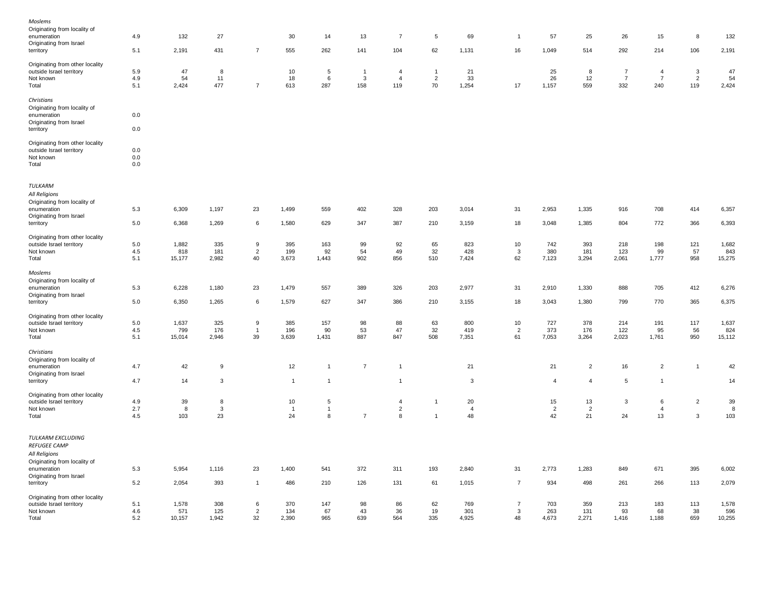| Moslems                         |         |        |       |                |                |                 |                |                |                 |                |                |                |                |                |                |                |        |
|---------------------------------|---------|--------|-------|----------------|----------------|-----------------|----------------|----------------|-----------------|----------------|----------------|----------------|----------------|----------------|----------------|----------------|--------|
| Originating from locality of    |         |        |       |                |                |                 |                |                |                 |                |                |                |                |                |                |                |        |
| enumeration                     | 4.9     | 132    | 27    |                | 30             | 14              | 13             | $\overline{7}$ | $5\phantom{.0}$ | 69             | $\overline{1}$ | 57             | 25             | 26             | 15             | 8              | 132    |
| Originating from Israel         |         |        |       |                |                |                 |                |                |                 |                |                |                |                |                |                |                |        |
| territory                       | 5.1     | 2,191  | 431   | $\overline{7}$ | 555            | 262             | 141            | 104            | 62              | 1,131          | 16             | 1,049          | 514            | 292            | 214            | 106            | 2,191  |
|                                 |         |        |       |                |                |                 |                |                |                 |                |                |                |                |                |                |                |        |
| Originating from other locality |         |        |       |                |                |                 |                |                |                 |                |                |                |                |                |                |                |        |
| outside Israel territory        | 5.9     | 47     | 8     |                | $10\,$         | $\overline{5}$  | $\overline{1}$ | $\overline{4}$ | $\mathbf{1}$    | 21             |                | 25             | 8              | $\overline{7}$ | $\overline{4}$ | $\mathbf{3}$   | 47     |
| Not known                       | 4.9     | 54     | 11    |                | 18             | 6               | 3              | $\overline{4}$ | $\overline{2}$  | 33             |                | 26             | 12             | $\overline{7}$ | $\overline{7}$ | 2              | 54     |
| Total                           | 5.1     | 2,424  | 477   | $\overline{7}$ | 613            | 287             | 158            | 119            | 70              | 1,254          | 17             | 1,157          | 559            | 332            | 240            | 119            | 2,424  |
|                                 |         |        |       |                |                |                 |                |                |                 |                |                |                |                |                |                |                |        |
| Christians                      |         |        |       |                |                |                 |                |                |                 |                |                |                |                |                |                |                |        |
|                                 |         |        |       |                |                |                 |                |                |                 |                |                |                |                |                |                |                |        |
| Originating from locality of    |         |        |       |                |                |                 |                |                |                 |                |                |                |                |                |                |                |        |
| enumeration                     | 0.0     |        |       |                |                |                 |                |                |                 |                |                |                |                |                |                |                |        |
| Originating from Israel         |         |        |       |                |                |                 |                |                |                 |                |                |                |                |                |                |                |        |
| territory                       | 0.0     |        |       |                |                |                 |                |                |                 |                |                |                |                |                |                |                |        |
|                                 |         |        |       |                |                |                 |                |                |                 |                |                |                |                |                |                |                |        |
| Originating from other locality |         |        |       |                |                |                 |                |                |                 |                |                |                |                |                |                |                |        |
| outside Israel territory        | 0.0     |        |       |                |                |                 |                |                |                 |                |                |                |                |                |                |                |        |
| Not known                       | 0.0     |        |       |                |                |                 |                |                |                 |                |                |                |                |                |                |                |        |
| Total                           | 0.0     |        |       |                |                |                 |                |                |                 |                |                |                |                |                |                |                |        |
|                                 |         |        |       |                |                |                 |                |                |                 |                |                |                |                |                |                |                |        |
| TULKARM                         |         |        |       |                |                |                 |                |                |                 |                |                |                |                |                |                |                |        |
| All Religions                   |         |        |       |                |                |                 |                |                |                 |                |                |                |                |                |                |                |        |
| Originating from locality of    |         |        |       |                |                |                 |                |                |                 |                |                |                |                |                |                |                |        |
| enumeration                     | 5.3     | 6,309  | 1,197 | 23             | 1,499          | 559             | 402            | 328            | 203             | 3,014          | 31             | 2,953          | 1,335          | 916            | 708            | 414            | 6,357  |
| Originating from Israel         |         |        |       |                |                |                 |                |                |                 |                |                |                |                |                |                |                |        |
| territory                       | 5.0     | 6,368  | 1,269 | 6              | 1,580          | 629             | 347            | 387            | 210             | 3,159          | 18             | 3,048          | 1,385          | 804            | 772            | 366            | 6,393  |
|                                 |         |        |       |                |                |                 |                |                |                 |                |                |                |                |                |                |                |        |
| Originating from other locality |         |        |       |                |                |                 |                |                |                 |                |                |                |                |                |                |                |        |
| outside Israel territory        | $5.0\,$ | 1,882  | 335   | 9              | 395            | 163             | 99             | 92             | 65              | 823            | 10             | 742            | 393            | 218            | 198            | 121            | 1,682  |
| Not known                       | 4.5     | 818    | 181   | $\overline{2}$ | 199            | 92              | 54             | 49             | 32              | 428            | 3              | 380            | 181            | 123            | 99             | 57             | 843    |
| Total                           | 5.1     | 15,177 | 2,982 | 40             | 3,673          | 1,443           | 902            | 856            | 510             | 7,424          | 62             | 7,123          | 3,294          | 2,061          | 1,777          | 958            | 15,275 |
|                                 |         |        |       |                |                |                 |                |                |                 |                |                |                |                |                |                |                |        |
| Moslems                         |         |        |       |                |                |                 |                |                |                 |                |                |                |                |                |                |                |        |
|                                 |         |        |       |                |                |                 |                |                |                 |                |                |                |                |                |                |                |        |
| Originating from locality of    |         |        |       |                |                |                 |                |                |                 |                |                |                |                |                |                | 412            |        |
| enumeration                     | 5.3     | 6,228  | 1,180 | 23             | 1,479          | 557             | 389            | 326            | 203             | 2,977          | 31             | 2,910          | 1,330          | 888            | 705            |                | 6,276  |
| Originating from Israel         |         |        |       |                |                |                 |                |                |                 |                |                |                |                |                |                |                |        |
| territory                       | 5.0     | 6,350  | 1,265 | 6              | 1,579          | 627             | 347            | 386            | 210             | 3,155          | 18             | 3,043          | 1,380          | 799            | 770            | 365            | 6,375  |
|                                 |         |        |       |                |                |                 |                |                |                 |                |                |                |                |                |                |                |        |
| Originating from other locality |         |        |       |                |                |                 |                |                |                 |                |                |                |                |                |                |                |        |
| outside Israel territory        | 5.0     | 1,637  | 325   | 9              | 385            | 157             | 98             | 88             | 63              | 800            | $10\,$         | 727            | 378            | 214            | 191            | 117            | 1,637  |
| Not known                       | 4.5     | 799    | 176   | $\overline{1}$ | 196            | 90              | 53             | 47             | 32              | 419            | $\overline{2}$ | 373            | 176            | 122            | 95             | 56             | 824    |
| Total                           | 5.1     | 15,014 | 2,946 | 39             | 3,639          | 1,431           | 887            | 847            | 508             | 7,351          | 61             | 7,053          | 3,264          | 2,023          | 1,761          | 950            | 15,112 |
|                                 |         |        |       |                |                |                 |                |                |                 |                |                |                |                |                |                |                |        |
| Christians                      |         |        |       |                |                |                 |                |                |                 |                |                |                |                |                |                |                |        |
| Originating from locality of    |         |        |       |                |                |                 |                |                |                 |                |                |                |                |                |                |                |        |
| enumeration                     | 4.7     | 42     | 9     |                | 12             | $\mathbf{1}$    | $\overline{7}$ | $\overline{1}$ |                 | 21             |                | 21             | $\overline{2}$ | 16             | $\overline{2}$ | $\mathbf{1}$   | 42     |
| Originating from Israel         |         |        |       |                |                |                 |                |                |                 |                |                |                |                |                |                |                |        |
| territory                       | 4.7     | 14     | 3     |                | $\mathbf{1}$   | $\mathbf{1}$    |                | $\mathbf{1}$   |                 | $\mathbf{3}$   |                | $\overline{4}$ | $\overline{4}$ | 5              | $\overline{1}$ |                | 14     |
|                                 |         |        |       |                |                |                 |                |                |                 |                |                |                |                |                |                |                |        |
| Originating from other locality |         |        |       |                |                |                 |                |                |                 |                |                |                |                |                |                |                |        |
| outside Israel territory        | 4.9     | 39     | 8     |                | 10             | $5\phantom{.0}$ |                | $\overline{4}$ | -1              | 20             |                | 15             | 13             | 3              | 6              | $\overline{2}$ | 39     |
| Not known                       | 2.7     | 8      | 3     |                | $\overline{1}$ | $\mathbf{1}$    |                | $\sqrt{2}$     |                 | $\overline{4}$ |                | $\overline{c}$ | $\overline{2}$ |                | $\overline{4}$ |                | 8      |
| Total                           | 4.5     | 103    | 23    |                | 24             | 8               | $\overline{7}$ | 8              | $\mathbf{1}$    | 48             |                | 42             | 21             | 24             | 13             | 3              | 103    |
|                                 |         |        |       |                |                |                 |                |                |                 |                |                |                |                |                |                |                |        |
| TULKARM EXCLUDING               |         |        |       |                |                |                 |                |                |                 |                |                |                |                |                |                |                |        |
| REFUGEE CAMP                    |         |        |       |                |                |                 |                |                |                 |                |                |                |                |                |                |                |        |
| All Religions                   |         |        |       |                |                |                 |                |                |                 |                |                |                |                |                |                |                |        |
|                                 |         |        |       |                |                |                 |                |                |                 |                |                |                |                |                |                |                |        |
| Originating from locality of    |         |        |       |                |                |                 |                |                |                 |                |                |                |                |                |                |                |        |
| enumeration                     | 5.3     | 5,954  | 1,116 | 23             | 1,400          | 541             | 372            | 311            | 193             | 2,840          | 31             | 2,773          | 1,283          | 849            | 671            | 395            | 6,002  |
| Originating from Israel         |         |        |       |                |                |                 |                |                |                 |                |                |                |                |                |                |                |        |
| territory                       | 5.2     | 2,054  | 393   | $\mathbf{1}$   | 486            | 210             | 126            | 131            | 61              | 1,015          | $\overline{7}$ | 934            | 498            | 261            | 266            | 113            | 2,079  |
|                                 |         |        |       |                |                |                 |                |                |                 |                |                |                |                |                |                |                |        |
| Originating from other locality |         |        |       |                |                |                 |                |                |                 |                |                |                |                |                |                |                |        |
| outside Israel territory        | 5.1     | 1,578  | 308   | 6              | 370            | 147             | 98             | 86             | 62              | 769            | $\overline{7}$ | 703            | 359            | 213            | 183            | 113            | 1,578  |
| Not known                       | 4.6     | 571    | 125   | 2              | 134            | 67              | 43             | 36             | 19              | 301            | 3              | 263            | 131            | 93             | 68             | 38             | 596    |
| Total                           | 5.2     | 10,157 | 1,942 | 32             | 2,390          | 965             | 639            | 564            | 335             | 4,925          | 48             | 4,673          | 2,271          | 1,416          | 1,188          | 659            | 10,255 |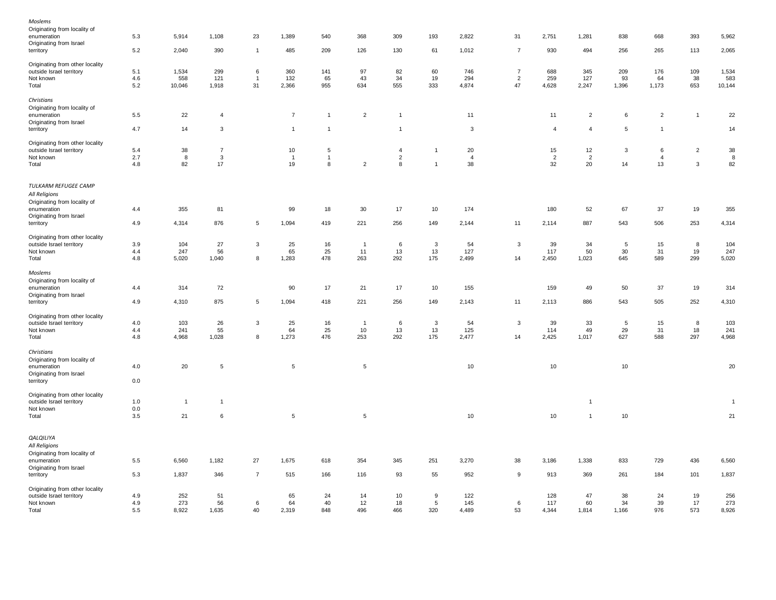| Originating from other locality<br>outside Israel territory<br>Not known<br>Total                    | 4.9<br>4.9<br>5.5 | 252<br>273<br>8,922 | 51<br>56<br>1,635         | 6<br>40              | 65<br>64<br>2,319          | 24<br>40<br>848                   | 14<br>12<br>496             | 10<br>18<br>466                       | 9<br>$5\phantom{.0}$<br>320    | 122<br>145<br>4,489        | 6<br>53              | 128<br>117<br>4,344        | 47<br>60<br>1,814          | 38<br>34<br>1,166 | 24<br>39<br>976           | 19<br>17<br>573     | 256<br>273<br>8,926 |
|------------------------------------------------------------------------------------------------------|-------------------|---------------------|---------------------------|----------------------|----------------------------|-----------------------------------|-----------------------------|---------------------------------------|--------------------------------|----------------------------|----------------------|----------------------------|----------------------------|-------------------|---------------------------|---------------------|---------------------|
| territory                                                                                            | 5.3               | 1,837               | 346                       | $\overline{7}$       | 515                        | 166                               | 116                         | 93                                    | 55                             | 952                        | 9                    | 913                        | 369                        | 261               | 184                       | 101                 | 1,837               |
| QALQILIYA<br>All Religions<br>Originating from locality of<br>enumeration<br>Originating from Israel | 5.5               | 6,560               | 1,182                     | 27                   | 1,675                      | 618                               | 354                         | 345                                   | 251                            | 3,270                      | 38                   | 3,186                      | 1,338                      | 833               | 729                       | 436                 | 6,560               |
| Total                                                                                                | 3.5               | 21                  | 6                         |                      | 5                          |                                   | $\sqrt{5}$                  |                                       |                                | 10                         |                      | 10                         | $\overline{1}$             | 10                |                           |                     | 21                  |
| Originating from other locality<br>outside Israel territory<br>Not known                             | 1.0<br>0.0        | $\mathbf{1}$        | $\mathbf{1}$              |                      |                            |                                   |                             |                                       |                                |                            |                      |                            | $\overline{1}$             |                   |                           |                     | $\overline{1}$      |
| enumeration<br>Originating from Israel<br>territory                                                  | 4.0<br>0.0        | 20                  | $\overline{5}$            |                      | $\sqrt{5}$                 |                                   | $\sqrt{5}$                  |                                       |                                | 10                         |                      | 10                         |                            | 10                |                           |                     | 20                  |
| Christians<br>Originating from locality of                                                           |                   |                     |                           |                      |                            |                                   |                             |                                       |                                |                            |                      |                            |                            |                   |                           |                     |                     |
| Originating from other locality<br>outside Israel territory<br>Not known<br>Total                    | 4.0<br>4.4<br>4.8 | 103<br>241<br>4,968 | 26<br>55<br>1,028         | 3<br>8               | 25<br>64<br>1,273          | 16<br>25<br>476                   | $\overline{1}$<br>10<br>253 | 6<br>13<br>292                        | 3<br>13<br>175                 | 54<br>125<br>2,477         | $\mathbf{3}$<br>14   | 39<br>114<br>2,425         | 33<br>49<br>1,017          | 5<br>29<br>627    | 15<br>31<br>588           | 8<br>18<br>297      | 103<br>241<br>4,968 |
| territory                                                                                            | 4.9               | 4,310               | 875                       | $\sqrt{5}$           | 1,094                      | 418                               | 221                         | 256                                   | 149                            | 2,143                      | 11                   | 2,113                      | 886                        | 543               | 505                       | 252                 | 4,310               |
| Originating from locality of<br>enumeration<br>Originating from Israel                               | 4.4               | 314                 | 72                        |                      | 90                         | 17                                | 21                          | 17                                    | 10                             | 155                        |                      | 159                        | 49                         | 50                | 37                        | 19                  | 314                 |
| Total<br>Moslems                                                                                     | 4.8               | 5,020               | 1,040                     | 8                    | 1,283                      | 478                               | 263                         | 292                                   | 175                            | 2,499                      | 14                   | 2,450                      | 1,023                      | 645               | 589                       | 299                 | 5,020               |
| Originating from other locality<br>outside Israel territory<br>Not known                             | 3.9<br>4.4        | 104<br>247          | 27<br>56                  | $\mathbf{3}$         | 25<br>65                   | 16<br>25                          | $\overline{1}$<br>11        | 6<br>13                               | $\mathbf{3}$<br>13             | 54<br>127                  | $\mathbf{3}$         | 39<br>117                  | 34<br>50                   | 5<br>30           | 15<br>31                  | 8<br>19             | 104<br>247          |
| Originating from Israel<br>territory                                                                 | 4.9               | 4,314               | 876                       | $5\phantom{.0}$      | 1,094                      | 419                               | 221                         | 256                                   | 149                            | 2,144                      | 11                   | 2,114                      | 887                        | 543               | 506                       | 253                 | 4,314               |
| TULKARM REFUGEE CAMP<br>All Religions<br>Originating from locality of<br>enumeration                 | 4.4               | 355                 | 81                        |                      | 99                         | 18                                | 30                          | 17                                    | 10                             | 174                        |                      | 180                        | 52                         | 67                | 37                        | 19                  | 355                 |
| Originating from other locality<br>outside Israel territory<br>Not known<br>Total                    | 5.4<br>2.7<br>4.8 | 38<br>8<br>82       | $\overline{7}$<br>3<br>17 |                      | 10<br>$\overline{1}$<br>19 | $\sqrt{5}$<br>$\overline{1}$<br>8 | $\overline{2}$              | $\overline{4}$<br>$\overline{c}$<br>8 | $\mathbf{1}$<br>$\overline{1}$ | 20<br>$\overline{4}$<br>38 |                      | 15<br>$\overline{2}$<br>32 | 12<br>$\overline{2}$<br>20 | 3<br>14           | 6<br>$\overline{4}$<br>13 | $\overline{2}$<br>3 | 38<br>8<br>82       |
| territory                                                                                            | 4.7               | 14                  | 3                         |                      | $\overline{1}$             | $\overline{1}$                    |                             | $\overline{1}$                        |                                | $\mathbf{3}$               |                      | $\overline{4}$             | $\overline{4}$             | 5                 | $\overline{1}$            |                     | 14                  |
| Christians<br>Originating from locality of<br>enumeration<br>Originating from Israel                 | 5.5               | 22                  | $\overline{4}$            |                      | $\overline{7}$             | $\overline{1}$                    | $\overline{c}$              | $\overline{1}$                        |                                | 11                         |                      | 11                         | $\overline{c}$             | 6                 | $\overline{c}$            | $\overline{1}$      | 22                  |
| Not known<br>Total                                                                                   | 4.6<br>5.2        | 558<br>10,046       | 1,918                     | $\overline{1}$<br>31 | 132<br>2,366               | 65<br>955                         | 634                         | 34<br>555                             | 19<br>333                      | 294<br>4,874               | $\overline{c}$<br>47 | 4,628                      | 127<br>2,247               | 1,396             | 64<br>1,173               | 38<br>653           | 583<br>10,144       |
| Originating from other locality<br>outside Israel territory                                          | 5.1               | 1,534               | 299<br>121                | 6                    | 360                        | 141                               | 97<br>43                    | 82                                    | 60                             | 746                        | $\overline{7}$       | 688<br>259                 | 345                        | 209<br>93         | 176                       | 109                 | 1,534               |
| Originating from Israel<br>territory                                                                 | 5.2               | 2,040               | 390                       | $\mathbf{1}$         | 485                        | 209                               | 126                         | 130                                   | 61                             | 1,012                      | $\overline{7}$       | 930                        | 494                        | 256               | 265                       | 113                 | 2,065               |
| Moslems<br>Originating from locality of<br>enumeration                                               | 5.3               | 5,914               | 1,108                     | 23                   | 1,389                      | 540                               | 368                         | 309                                   | 193                            | 2,822                      | 31                   | 2,751                      | 1,281                      | 838               | 668                       | 393                 | 5,962               |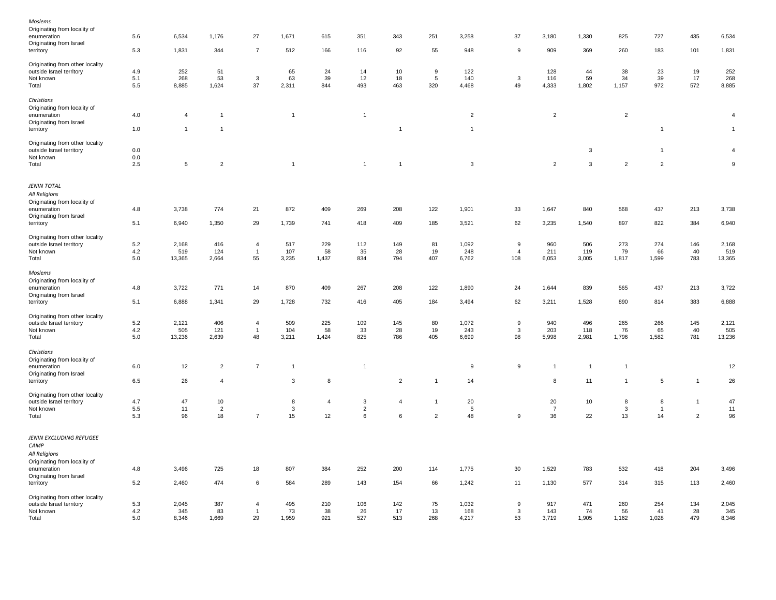| Moslems                                                     |         |                |                |                |                |                |                |                |                |                |                   |                |                |                |                |                |                  |
|-------------------------------------------------------------|---------|----------------|----------------|----------------|----------------|----------------|----------------|----------------|----------------|----------------|-------------------|----------------|----------------|----------------|----------------|----------------|------------------|
| Originating from locality of                                |         |                |                |                |                |                |                |                |                |                |                   |                |                |                |                |                |                  |
| enumeration                                                 | 5.6     | 6,534          | 1,176          | 27             | 1,671          | 615            | 351            | 343            | 251            | 3,258          | 37                | 3,180          | 1,330          | 825            | 727            | 435            | 6,534            |
| Originating from Israel                                     |         |                |                |                |                |                |                |                |                |                |                   |                |                |                |                |                |                  |
| territory                                                   | 5.3     | 1,831          | 344            | $\overline{7}$ | 512            | 166            | 116            | 92             | 55             | 948            | 9                 | 909            | 369            | 260            | 183            | 101            | 1,831            |
|                                                             |         |                |                |                |                |                |                |                |                |                |                   |                |                |                |                |                |                  |
| Originating from other locality<br>outside Israel territory | 4.9     | 252            | 51             |                | 65             | 24             | 14             | 10             | 9              | 122            |                   | 128            | 44             | 38             | 23             | 19             | 252              |
|                                                             |         |                |                |                |                |                |                |                |                |                |                   |                | 59             | 34             |                |                |                  |
| Not known                                                   | 5.1     | 268            | 53             | $\mathbf{3}$   | 63             | 39             | 12             | 18             | $\,$ 5 $\,$    | 140            | $\mathbf{3}$      | 116            |                |                | 39             | 17             | 268              |
| Total                                                       | 5.5     | 8,885          | 1,624          | 37             | 2,311          | 844            | 493            | 463            | 320            | 4,468          | 49                | 4,333          | 1,802          | 1,157          | 972            | 572            | 8,885            |
| Christians                                                  |         |                |                |                |                |                |                |                |                |                |                   |                |                |                |                |                |                  |
|                                                             |         |                |                |                |                |                |                |                |                |                |                   |                |                |                |                |                |                  |
| Originating from locality of                                |         |                | $\overline{1}$ |                | $\overline{1}$ |                |                |                |                |                |                   |                |                |                |                |                | $\overline{4}$   |
| enumeration                                                 | 4.0     | $\overline{4}$ |                |                |                |                | $\mathbf{1}$   |                |                | $\overline{c}$ |                   | $\overline{c}$ |                | $\overline{c}$ |                |                |                  |
| Originating from Israel<br>territory                        | 1.0     | $\mathbf{1}$   | $\mathbf{1}$   |                |                |                |                | $\overline{1}$ |                | $\overline{1}$ |                   |                |                |                | $\mathbf{1}$   |                | $\overline{1}$   |
|                                                             |         |                |                |                |                |                |                |                |                |                |                   |                |                |                |                |                |                  |
| Originating from other locality                             |         |                |                |                |                |                |                |                |                |                |                   |                |                |                |                |                |                  |
| outside Israel territory                                    | 0.0     |                |                |                |                |                |                |                |                |                |                   |                | 3              |                | $\mathbf{1}$   |                | $\overline{4}$   |
| Not known                                                   | 0.0     |                |                |                |                |                |                |                |                |                |                   |                |                |                |                |                |                  |
| Total                                                       | $2.5\,$ | $\overline{5}$ | $\overline{2}$ |                | $\overline{1}$ |                | $\mathbf{1}$   | $\overline{1}$ |                | $\mathbf{3}$   |                   | $\overline{2}$ | 3              | $\overline{2}$ | $\overline{2}$ |                | $\boldsymbol{9}$ |
|                                                             |         |                |                |                |                |                |                |                |                |                |                   |                |                |                |                |                |                  |
|                                                             |         |                |                |                |                |                |                |                |                |                |                   |                |                |                |                |                |                  |
| <b>JENIN TOTAL</b>                                          |         |                |                |                |                |                |                |                |                |                |                   |                |                |                |                |                |                  |
| All Religions                                               |         |                |                |                |                |                |                |                |                |                |                   |                |                |                |                |                |                  |
| Originating from locality of                                |         |                |                |                |                |                |                |                |                |                |                   |                |                |                |                |                |                  |
| enumeration                                                 | 4.8     | 3,738          | 774            | 21             | 872            | 409            | 269            | 208            | 122            | 1,901          | 33                | 1,647          | 840            | 568            | 437            | 213            | 3,738            |
| Originating from Israel                                     |         |                |                |                |                |                |                |                |                |                |                   |                |                |                |                |                |                  |
| territory                                                   | 5.1     | 6,940          | 1,350          | 29             | 1,739          | 741            | 418            | 409            | 185            | 3,521          | 62                | 3,235          | 1,540          | 897            | 822            | 384            | 6,940            |
|                                                             |         |                |                |                |                |                |                |                |                |                |                   |                |                |                |                |                |                  |
| Originating from other locality                             |         |                |                |                |                |                |                |                |                |                |                   |                |                |                |                |                |                  |
| outside Israel territory                                    | 5.2     | 2,168          | 416            | $\overline{4}$ | 517            | 229            | 112            | 149            | 81             | 1,092          | 9                 | 960            | 506            | 273            | 274            | 146            | 2,168            |
| Not known                                                   | 4.2     | 519            | 124            | $\mathbf{1}$   | 107            | 58             | 35             | 28             | 19             | 248            | $\overline{4}$    | 211            | 119            | 79             | 66             | 40             | 519              |
| Total                                                       | $5.0\,$ | 13,365         | 2,664          | 55             | 3,235          | 1,437          | 834            | 794            | 407            | 6,762          | 108               | 6,053          | 3,005          | 1,817          | 1,599          | 783            | 13,365           |
|                                                             |         |                |                |                |                |                |                |                |                |                |                   |                |                |                |                |                |                  |
| Moslems                                                     |         |                |                |                |                |                |                |                |                |                |                   |                |                |                |                |                |                  |
| Originating from locality of                                |         |                |                |                |                |                |                |                |                |                |                   |                |                |                |                |                |                  |
| enumeration                                                 | 4.8     | 3,722          | 771            | 14             | 870            | 409            | 267            | 208            | 122            | 1,890          | 24                | 1,644          | 839            | 565            | 437            | 213            | 3,722            |
| Originating from Israel                                     |         |                |                |                |                |                |                |                |                |                |                   |                |                |                |                |                |                  |
| territory                                                   | 5.1     | 6,888          | 1,341          | 29             | 1,728          | 732            | 416            | 405            | 184            | 3,494          | 62                | 3,211          | 1,528          | 890            | 814            | 383            | 6,888            |
|                                                             |         |                |                |                |                |                |                |                |                |                |                   |                |                |                |                |                |                  |
| Originating from other locality                             |         |                |                |                |                |                |                |                |                |                |                   |                |                |                |                |                |                  |
| outside Israel territory                                    | 5.2     | 2,121          | 406            | $\overline{4}$ | 509            | 225            | 109            | 145            | 80             | 1,072          | $\boldsymbol{9}$  | 940            | 496            | 265            | 266            | 145            | 2,121            |
| Not known                                                   | 4.2     | 505            | 121            | $\mathbf{1}$   | 104            | 58             | 33             | 28             | 19             | 243            | 3                 | 203            | 118            | 76             | 65             | 40             | 505              |
| Total                                                       | 5.0     | 13,236         | 2,639          | 48             | 3,211          | 1,424          | 825            | 786            | 405            | 6,699          | 98                | 5,998          | 2,981          | 1,796          | 1,582          | 781            | 13,236           |
| Christians                                                  |         |                |                |                |                |                |                |                |                |                |                   |                |                |                |                |                |                  |
|                                                             |         |                |                |                |                |                |                |                |                |                |                   |                |                |                |                |                |                  |
| Originating from locality of                                |         |                |                | $\overline{7}$ | $\overline{1}$ |                | $\overline{1}$ |                |                |                |                   |                |                | $\mathbf{1}$   |                |                |                  |
| enumeration                                                 | 6.0     | 12             | $\overline{2}$ |                |                |                |                |                |                | 9              | $\boldsymbol{9}$  | $\overline{1}$ | $\overline{1}$ |                |                |                | 12               |
| Originating from Israel                                     | 6.5     | 26             | 4              |                | 3              | 8              |                | $\overline{c}$ | $\mathbf{1}$   | 14             |                   | 8              | 11             | 1              | $\,$ 5 $\,$    | $\mathbf{1}$   | 26               |
| territory                                                   |         |                |                |                |                |                |                |                |                |                |                   |                |                |                |                |                |                  |
| Originating from other locality                             |         |                |                |                |                |                |                |                |                |                |                   |                |                |                |                |                |                  |
| outside Israel territory                                    | 4.7     | 47             | 10             |                | 8              | $\overline{4}$ | 3              | $\overline{4}$ | $\mathbf{1}$   | 20             |                   | 20             | 10             | 8              | 8              | $\mathbf{1}$   | 47               |
| Not known                                                   | 5.5     | 11             | $\overline{2}$ |                | $\mathbf{3}$   |                | $\overline{2}$ |                |                | 5              |                   | $\overline{7}$ |                | 3              | $\overline{1}$ |                | 11               |
| Total                                                       | 5.3     | 96             | 18             | $\overline{7}$ | 15             | 12             | 6              | 6              | $\overline{2}$ | 48             | 9                 | 36             | 22             | 13             | 14             | $\overline{2}$ | 96               |
|                                                             |         |                |                |                |                |                |                |                |                |                |                   |                |                |                |                |                |                  |
| JENIN EXCLUDING REFUGEE                                     |         |                |                |                |                |                |                |                |                |                |                   |                |                |                |                |                |                  |
|                                                             |         |                |                |                |                |                |                |                |                |                |                   |                |                |                |                |                |                  |
| CAMP                                                        |         |                |                |                |                |                |                |                |                |                |                   |                |                |                |                |                |                  |
| All Religions                                               |         |                |                |                |                |                |                |                |                |                |                   |                |                |                |                |                |                  |
| Originating from locality of                                |         |                |                |                |                |                |                |                |                |                |                   |                |                |                |                |                |                  |
| enumeration                                                 | 4.8     | 3,496          | 725            | 18             | 807            | 384            | 252            | 200            | 114            | 1,775          | 30                | 1,529          | 783            | 532            | 418            | 204            | 3,496            |
| Originating from Israel                                     |         |                |                |                |                |                |                |                |                |                |                   |                |                |                |                |                |                  |
| territory                                                   | 5.2     | 2,460          | 474            | 6              | 584            | 289            | 143            | 154            | 66             | 1,242          | 11                | 1,130          | 577            | 314            | 315            | 113            | 2,460            |
|                                                             |         |                |                |                |                |                |                |                |                |                |                   |                |                |                |                |                |                  |
| Originating from other locality                             | 5.3     |                |                | $\overline{4}$ | 495            | 210            | 106            |                | 75             |                |                   | 917            | 471            | 260            | 254            | 134            | 2,045            |
| outside Israel territory                                    | 4.2     | 2,045<br>345   | 387<br>83      | $\overline{1}$ | 73             | 38             | 26             | 142<br>17      | 13             | 1,032<br>168   | 9<br>$\mathbf{3}$ | 143            | 74             | 56             | 41             | 28             | 345              |
| Not known<br>Total                                          | 5.0     | 8,346          | 1,669          | 29             | 1,959          | 921            | 527            | 513            | 268            | 4,217          | 53                | 3,719          | 1,905          | 1,162          | 1,028          | 479            | 8,346            |
|                                                             |         |                |                |                |                |                |                |                |                |                |                   |                |                |                |                |                |                  |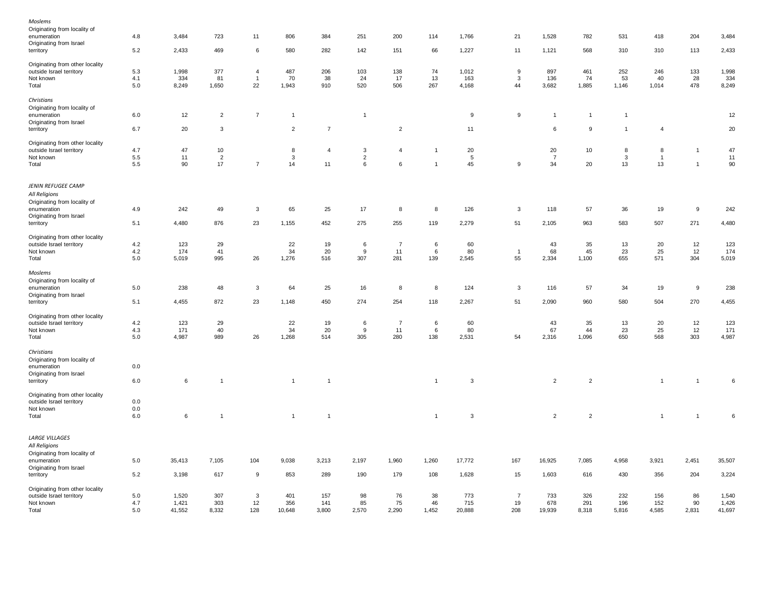| Moslems                         |         |        |                         |                |                |                |                |                |                |        |                  |                |                |                |                |                |         |
|---------------------------------|---------|--------|-------------------------|----------------|----------------|----------------|----------------|----------------|----------------|--------|------------------|----------------|----------------|----------------|----------------|----------------|---------|
| Originating from locality of    |         |        |                         |                |                |                |                |                |                |        |                  |                |                |                |                |                |         |
| enumeration                     | 4.8     | 3,484  | 723                     | 11             | 806            | 384            | 251            | 200            | 114            | 1,766  | 21               | 1,528          | 782            | 531            | 418            | 204            | 3,484   |
| Originating from Israel         |         |        |                         |                |                |                |                |                |                |        |                  |                |                |                |                |                |         |
| territory                       | 5.2     | 2,433  | 469                     | 6              | 580            | 282            | 142            | 151            | 66             | 1,227  | 11               | 1,121          | 568            | 310            | 310            | 113            | 2,433   |
|                                 |         |        |                         |                |                |                |                |                |                |        |                  |                |                |                |                |                |         |
| Originating from other locality |         |        |                         |                |                |                |                |                |                |        |                  |                |                |                |                |                |         |
| outside Israel territory        | 5.3     | 1,998  | 377                     | 4              | 487            | 206            | 103            | 138            | 74             | 1,012  | 9                | 897            | 461            | 252            | 246            | 133            | 1,998   |
|                                 |         |        |                         |                |                |                |                |                |                |        |                  |                |                |                |                |                |         |
| Not known                       | 4.1     | 334    | 81                      | $\mathbf{1}$   | 70             | 38             | 24             | 17             | 13             | 163    | 3                | 136            | 74             | 53             | 40             | 28             | 334     |
| Total                           | $5.0\,$ | 8,249  | 1,650                   | 22             | 1,943          | 910            | 520            | 506            | 267            | 4,168  | 44               | 3,682          | 1,885          | 1,146          | 1,014          | 478            | 8,249   |
|                                 |         |        |                         |                |                |                |                |                |                |        |                  |                |                |                |                |                |         |
| Christians                      |         |        |                         |                |                |                |                |                |                |        |                  |                |                |                |                |                |         |
| Originating from locality of    |         |        |                         |                |                |                |                |                |                |        |                  |                |                |                |                |                |         |
| enumeration                     | 6.0     | 12     | $\overline{2}$          | $\overline{7}$ | -1             |                | $\overline{1}$ |                |                | 9      | $\boldsymbol{9}$ | $\overline{1}$ | $\overline{1}$ | $\overline{1}$ |                |                | 12      |
| Originating from Israel         |         |        |                         |                |                |                |                |                |                |        |                  |                |                |                |                |                |         |
| territory                       | 6.7     | 20     | 3                       |                | 2              | $\overline{7}$ |                | $\overline{2}$ |                | 11     |                  | 6              | 9              | $\overline{1}$ | $\overline{4}$ |                | 20      |
|                                 |         |        |                         |                |                |                |                |                |                |        |                  |                |                |                |                |                |         |
| Originating from other locality |         |        |                         |                |                |                |                |                |                |        |                  |                |                |                |                |                |         |
| outside Israel territory        | 4.7     | 47     | 10                      |                | 8              | 4              | 3              | $\overline{4}$ | $\mathbf{1}$   | 20     |                  | 20             | 10             | 8              | 8              | $\mathbf{1}$   | 47      |
|                                 |         |        |                         |                |                |                |                |                |                | 5      |                  |                |                |                |                |                |         |
| Not known                       | 5.5     | 11     | $\overline{2}$          |                | 3              |                | $\overline{2}$ |                |                |        |                  | $\overline{7}$ |                | 3              | $\overline{1}$ |                | 11      |
| Total                           | 5.5     | 90     | 17                      | $\overline{7}$ | 14             | 11             | 6              | 6              | $\overline{1}$ | 45     | 9                | 34             | 20             | 13             | 13             | $\overline{1}$ | $90\,$  |
|                                 |         |        |                         |                |                |                |                |                |                |        |                  |                |                |                |                |                |         |
| JENIN REFUGEE CAMP              |         |        |                         |                |                |                |                |                |                |        |                  |                |                |                |                |                |         |
| All Religions                   |         |        |                         |                |                |                |                |                |                |        |                  |                |                |                |                |                |         |
|                                 |         |        |                         |                |                |                |                |                |                |        |                  |                |                |                |                |                |         |
| Originating from locality of    |         |        |                         |                |                |                |                |                |                |        |                  |                |                |                |                |                |         |
| enumeration                     | 4.9     | 242    | 49                      | 3              | 65             | 25             | 17             | 8              | 8              | 126    | 3                | 118            | 57             | 36             | 19             | 9              | 242     |
| Originating from Israel         |         |        |                         |                |                |                |                |                |                |        |                  |                |                |                |                |                |         |
| territory                       | 5.1     | 4,480  | 876                     | 23             | 1,155          | 452            | 275            | 255            | 119            | 2,279  | 51               | 2,105          | 963            | 583            | 507            | 271            | 4,480   |
|                                 |         |        |                         |                |                |                |                |                |                |        |                  |                |                |                |                |                |         |
| Originating from other locality |         |        |                         |                |                |                |                |                |                |        |                  |                |                |                |                |                |         |
| outside Israel territory        | 4.2     | 123    | 29                      |                | 22             | 19             | 6              | $\overline{7}$ | 6              | 60     |                  | 43             | 35             | 13             | 20             | 12             | 123     |
| Not known                       | 4.2     | 174    | 41                      |                | 34             | 20             | 9              | 11             | 6              | 80     | $\overline{1}$   | 68             | 45             | 23             | 25             | 12             | 174     |
| Total                           | $5.0\,$ | 5,019  | 995                     | 26             | 1,276          | 516            | 307            | 281            | 139            | 2,545  | 55               | 2,334          | 1,100          | 655            | 571            | 304            | 5,019   |
|                                 |         |        |                         |                |                |                |                |                |                |        |                  |                |                |                |                |                |         |
| Moslems                         |         |        |                         |                |                |                |                |                |                |        |                  |                |                |                |                |                |         |
| Originating from locality of    |         |        |                         |                |                |                |                |                |                |        |                  |                |                |                |                |                |         |
| enumeration                     | $5.0\,$ | 238    | 48                      | 3              | 64             | 25             | 16             | 8              | 8              | 124    | 3                | 116            | 57             | 34             | 19             | 9              | 238     |
| Originating from Israel         |         |        |                         |                |                |                |                |                |                |        |                  |                |                |                |                |                |         |
|                                 |         |        |                         |                |                |                |                |                |                |        |                  |                |                |                |                |                |         |
| territory                       | 5.1     | 4,455  | 872                     | 23             | 1,148          | 450            | 274            | 254            | 118            | 2,267  | 51               | 2,090          | 960            | 580            | 504            | 270            | 4,455   |
|                                 |         |        |                         |                |                |                |                |                |                |        |                  |                |                |                |                |                |         |
| Originating from other locality |         |        |                         |                |                |                |                |                |                |        |                  |                |                |                |                |                |         |
| outside Israel territory        | 4.2     | 123    | 29                      |                | 22             | 19             | 6              | $\overline{7}$ | 6              | 60     |                  | 43             | 35             | 13             | 20             | 12             | 123     |
| Not known                       | 4.3     | 171    | 40                      |                | 34             | 20             | 9              | 11             | 6              | 80     |                  | 67             | 44             | 23             | 25             | 12             | 171     |
| Total                           | $5.0\,$ | 4,987  | 989                     | 26             | 1,268          | 514            | 305            | 280            | 138            | 2,531  | 54               | 2,316          | 1,096          | 650            | 568            | 303            | 4,987   |
|                                 |         |        |                         |                |                |                |                |                |                |        |                  |                |                |                |                |                |         |
| Christians                      |         |        |                         |                |                |                |                |                |                |        |                  |                |                |                |                |                |         |
| Originating from locality of    |         |        |                         |                |                |                |                |                |                |        |                  |                |                |                |                |                |         |
| enumeration                     | 0.0     |        |                         |                |                |                |                |                |                |        |                  |                |                |                |                |                |         |
| Originating from Israel         |         |        |                         |                |                |                |                |                |                |        |                  |                |                |                |                |                |         |
|                                 |         |        | $\overline{\mathbf{1}}$ |                | $\overline{1}$ | $\overline{1}$ |                |                |                |        |                  |                |                |                |                | $\overline{1}$ |         |
| territory                       | 6.0     | 6      |                         |                |                |                |                |                | $\mathbf{1}$   | 3      |                  | $\overline{c}$ | $\overline{c}$ |                | $\overline{1}$ |                | $\,6\,$ |
|                                 |         |        |                         |                |                |                |                |                |                |        |                  |                |                |                |                |                |         |
| Originating from other locality |         |        |                         |                |                |                |                |                |                |        |                  |                |                |                |                |                |         |
| outside Israel territory        | 0.0     |        |                         |                |                |                |                |                |                |        |                  |                |                |                |                |                |         |
| Not known                       | $0.0\,$ |        |                         |                |                |                |                |                |                |        |                  |                |                |                |                |                |         |
| Total                           | 6.0     | 6      | $\overline{1}$          |                | $\mathbf{1}$   | $\overline{1}$ |                |                | -1             | 3      |                  | $\overline{2}$ | $\overline{2}$ |                | $\mathbf{1}$   | $\mathbf{1}$   | 6       |
|                                 |         |        |                         |                |                |                |                |                |                |        |                  |                |                |                |                |                |         |
| <b>LARGE VILLAGES</b>           |         |        |                         |                |                |                |                |                |                |        |                  |                |                |                |                |                |         |
| All Religions                   |         |        |                         |                |                |                |                |                |                |        |                  |                |                |                |                |                |         |
|                                 |         |        |                         |                |                |                |                |                |                |        |                  |                |                |                |                |                |         |
| Originating from locality of    |         |        |                         |                |                |                |                |                |                |        |                  |                |                |                |                |                |         |
| enumeration                     | 5.0     | 35,413 | 7,105                   | 104            | 9,038          | 3,213          | 2,197          | 1,960          | 1,260          | 17,772 | 167              | 16,925         | 7,085          | 4,958          | 3,921          | 2,451          | 35,507  |
| Originating from Israel         |         |        |                         |                |                |                |                |                |                |        |                  |                |                |                |                |                |         |
| territory                       | 5.2     | 3,198  | 617                     | 9              | 853            | 289            | 190            | 179            | 108            | 1,628  | 15               | 1,603          | 616            | 430            | 356            | 204            | 3,224   |
|                                 |         |        |                         |                |                |                |                |                |                |        |                  |                |                |                |                |                |         |
| Originating from other locality |         |        |                         |                |                |                |                |                |                |        |                  |                |                |                |                |                |         |
| outside Israel territory        | 5.0     | 1,520  | 307                     | 3              | 401            | 157            | 98             | 76             | 38             | 773    | $\overline{7}$   | 733            | 326            | 232            | 156            | 86             | 1,540   |
| Not known                       | 4.7     | 1,421  | 303                     | 12             | 356            | 141            | 85             | 75             | 46             | 715    | 19               | 678            | 291            | 196            | 152            | 90             | 1,426   |
| Total                           | 5.0     | 41,552 | 8,332                   | 128            | 10,648         | 3,800          | 2,570          | 2,290          | 1,452          | 20,888 | 208              | 19,939         | 8,318          | 5,816          | 4,585          | 2,831          | 41,697  |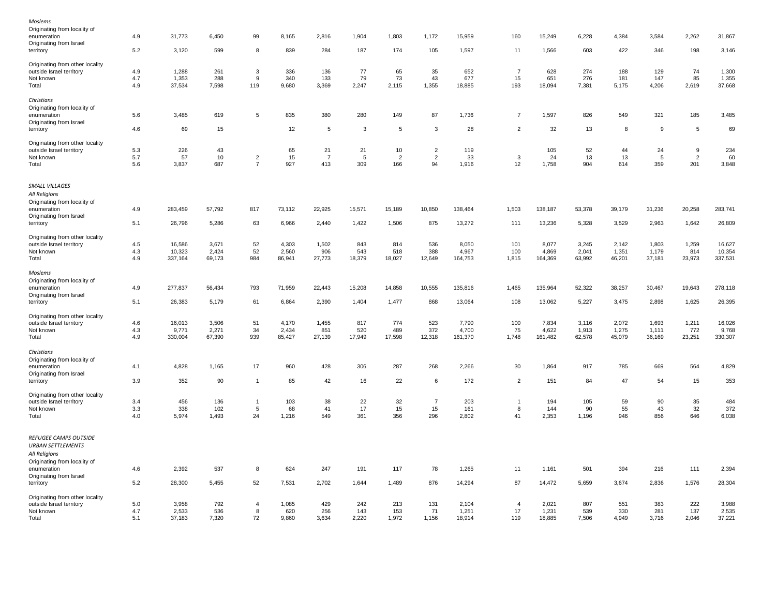| Moslems                         |     |         |        |                |        |                |        |                |                |         |                         |         |        |        |        |                |         |
|---------------------------------|-----|---------|--------|----------------|--------|----------------|--------|----------------|----------------|---------|-------------------------|---------|--------|--------|--------|----------------|---------|
| Originating from locality of    |     |         |        |                |        |                |        |                |                |         |                         |         |        |        |        |                |         |
| enumeration                     | 4.9 | 31,773  | 6,450  | 99             | 8,165  | 2,816          | 1,904  | 1,803          | 1,172          | 15,959  | 160                     | 15,249  | 6,228  | 4,384  | 3,584  | 2,262          | 31,867  |
| Originating from Israel         |     |         |        |                |        |                |        |                |                |         |                         |         |        |        |        |                |         |
| territory                       | 5.2 | 3,120   | 599    | 8              | 839    | 284            | 187    | 174            | 105            | 1,597   | 11                      | 1,566   | 603    | 422    | 346    | 198            | 3,146   |
|                                 |     |         |        |                |        |                |        |                |                |         |                         |         |        |        |        |                |         |
| Originating from other locality |     |         |        |                |        |                |        |                |                |         | $\overline{7}$          |         |        |        |        |                |         |
| outside Israel territory        | 4.9 | 1,288   | 261    | 3              | 336    | 136            | 77     | 65             | 35             | 652     |                         | 628     | 274    | 188    | 129    | 74             | 1,300   |
| Not known                       | 4.7 | 1,353   | 288    | 9              | 340    | 133            | 79     | 73             | 43             | 677     | 15                      | 651     | 276    | 181    | 147    | 85             | 1,355   |
| Total                           | 4.9 | 37,534  | 7,598  | 119            | 9,680  | 3,369          | 2,247  | 2,115          | 1,355          | 18,885  | 193                     | 18,094  | 7,381  | 5,175  | 4,206  | 2,619          | 37,668  |
| Christians                      |     |         |        |                |        |                |        |                |                |         |                         |         |        |        |        |                |         |
| Originating from locality of    |     |         |        |                |        |                |        |                |                |         |                         |         |        |        |        |                |         |
| enumeration                     | 5.6 | 3,485   | 619    | $\,$ 5 $\,$    | 835    | 380            | 280    | 149            | 87             | 1,736   | $\overline{7}$          | 1,597   | 826    | 549    | 321    | 185            | 3,485   |
| Originating from Israel         |     |         |        |                |        |                |        |                |                |         |                         |         |        |        |        |                |         |
| territory                       | 4.6 | 69      | 15     |                | 12     | 5              | 3      | 5              | 3              | 28      | $\overline{2}$          | 32      | 13     | 8      | 9      | $\sqrt{5}$     | 69      |
|                                 |     |         |        |                |        |                |        |                |                |         |                         |         |        |        |        |                |         |
| Originating from other locality |     |         |        |                |        |                |        |                |                |         |                         |         |        |        |        |                |         |
| outside Israel territory        | 5.3 | 226     | 43     |                | 65     | 21             | 21     | 10             | $\overline{a}$ | 119     |                         | 105     | 52     | 44     | 24     | 9              | 234     |
| Not known                       | 5.7 | 57      | 10     | $\overline{2}$ | 15     | $\overline{7}$ | 5      | $\overline{2}$ | $\overline{2}$ | 33      | $\overline{\mathbf{3}}$ | 24      | 13     | 13     | 5      | $\overline{2}$ | 60      |
| Total                           | 5.6 | 3,837   | 687    | $\overline{7}$ | 927    | 413            | 309    | 166            | 94             | 1,916   | 12                      | 1,758   | 904    | 614    | 359    | 201            | 3,848   |
| SMALL VILLAGES                  |     |         |        |                |        |                |        |                |                |         |                         |         |        |        |        |                |         |
|                                 |     |         |        |                |        |                |        |                |                |         |                         |         |        |        |        |                |         |
| All Religions                   |     |         |        |                |        |                |        |                |                |         |                         |         |        |        |        |                |         |
| Originating from locality of    |     |         |        |                |        |                |        |                |                |         |                         |         |        |        |        |                |         |
| enumeration                     | 4.9 | 283,459 | 57,792 | 817            | 73,112 | 22,925         | 15,571 | 15,189         | 10,850         | 138,464 | 1,503                   | 138,187 | 53,378 | 39,179 | 31,236 | 20,258         | 283,741 |
| Originating from Israel         |     |         |        |                |        |                |        |                |                |         |                         |         |        |        |        |                |         |
| territory                       | 5.1 | 26,796  | 5,286  | 63             | 6,966  | 2,440          | 1,422  | 1,506          | 875            | 13,272  | 111                     | 13,236  | 5,328  | 3,529  | 2,963  | 1,642          | 26,809  |
| Originating from other locality |     |         |        |                |        |                |        |                |                |         |                         |         |        |        |        |                |         |
| outside Israel territory        | 4.5 | 16,586  | 3,671  | 52             | 4,303  | 1,502          | 843    | 814            | 536            | 8,050   | 101                     | 8,077   | 3,245  | 2,142  | 1,803  | 1,259          | 16,627  |
| Not known                       | 4.3 | 10,323  | 2,424  | 52             | 2,560  | 906            | 543    | 518            | 388            | 4,967   | 100                     | 4,869   | 2,041  | 1,351  | 1,179  | 814            | 10,354  |
| Total                           | 4.9 | 337,164 | 69,173 | 984            | 86,941 | 27,773         | 18,379 | 18,027         | 12,649         | 164,753 | 1,815                   | 164,369 | 63,992 | 46,201 | 37,181 | 23,973         | 337,531 |
|                                 |     |         |        |                |        |                |        |                |                |         |                         |         |        |        |        |                |         |
| Moslems                         |     |         |        |                |        |                |        |                |                |         |                         |         |        |        |        |                |         |
| Originating from locality of    |     |         |        |                |        |                |        |                |                |         |                         |         |        |        |        |                |         |
| enumeration                     | 4.9 | 277,837 | 56,434 | 793            | 71,959 | 22,443         | 15,208 | 14,858         | 10,555         | 135,816 | 1,465                   | 135,964 | 52,322 | 38,257 | 30,467 | 19,643         | 278,118 |
| Originating from Israel         |     |         |        |                |        |                |        |                |                |         |                         |         |        |        |        |                |         |
| territory                       | 5.1 | 26,383  | 5,179  | 61             | 6,864  | 2,390          | 1,404  | 1,477          | 868            | 13,064  | 108                     | 13,062  | 5,227  | 3,475  | 2,898  | 1,625          | 26,395  |
|                                 |     |         |        |                |        |                |        |                |                |         |                         |         |        |        |        |                |         |
| Originating from other locality |     |         |        |                |        |                |        |                |                |         |                         |         |        |        |        |                |         |
| outside Israel territory        | 4.6 | 16,013  | 3,506  | 51             | 4,170  | 1,455          | 817    | 774            | 523            | 7,790   | 100                     | 7,834   | 3,116  | 2,072  | 1,693  | 1,211          | 16,026  |
| Not known                       | 4.3 | 9,771   | 2,271  | 34             | 2,434  | 851            | 520    | 489            | 372            | 4,700   | 75                      | 4,622   | 1,913  | 1,275  | 1,111  | 772            | 9,768   |
| Total                           | 4.9 | 330,004 | 67,390 | 939            | 85,427 | 27,139         | 17,949 | 17,598         | 12,318         | 161,370 | 1,748                   | 161,482 | 62,578 | 45,079 | 36,169 | 23,251         | 330,307 |
| Christians                      |     |         |        |                |        |                |        |                |                |         |                         |         |        |        |        |                |         |
| Originating from locality of    |     |         |        |                |        |                |        |                |                |         |                         |         |        |        |        |                |         |
| enumeration                     | 4.1 | 4,828   | 1,165  | 17             | 960    | 428            | 306    | 287            | 268            | 2,266   | 30                      | 1,864   | 917    | 785    | 669    | 564            | 4,829   |
| Originating from Israel         |     |         |        |                |        |                |        |                |                |         |                         |         |        |        |        |                |         |
| territory                       | 3.9 | 352     | 90     | $\overline{1}$ | 85     | 42             | 16     | 22             | 6              | 172     | $\overline{2}$          | 151     | 84     | 47     | 54     | 15             | 353     |
|                                 |     |         |        |                |        |                |        |                |                |         |                         |         |        |        |        |                |         |
| Originating from other locality |     |         |        |                |        |                |        |                |                |         |                         |         |        |        |        |                |         |
| outside Israel territory        | 3.4 | 456     | 136    | $\overline{1}$ | 103    | 38             | 22     | 32             | $\overline{7}$ | 203     | $\overline{1}$          | 194     | 105    | 59     | 90     | 35             | 484     |
| Not known                       | 3.3 | 338     | 102    | $\sqrt{5}$     | 68     | 41             | 17     | 15             | 15             | 161     | 8                       | 144     | 90     | 55     | 43     | 32             | 372     |
| Total                           | 4.0 | 5,974   | 1,493  | 24             | 1,216  | 549            | 361    | 356            | 296            | 2,802   | 41                      | 2,353   | 1,196  | 946    | 856    | 646            | 6,038   |
|                                 |     |         |        |                |        |                |        |                |                |         |                         |         |        |        |        |                |         |
| REFUGEE CAMPS OUTSIDE           |     |         |        |                |        |                |        |                |                |         |                         |         |        |        |        |                |         |
| <b>URBAN SETTLEMENTS</b>        |     |         |        |                |        |                |        |                |                |         |                         |         |        |        |        |                |         |
| All Religions                   |     |         |        |                |        |                |        |                |                |         |                         |         |        |        |        |                |         |
| Originating from locality of    |     |         |        |                |        |                |        |                |                |         |                         |         |        |        |        |                |         |
| enumeration                     | 4.6 | 2,392   | 537    | 8              | 624    | 247            | 191    | 117            | 78             | 1,265   | 11                      | 1,161   | 501    | 394    | 216    | 111            | 2,394   |
| Originating from Israel         |     |         |        |                |        |                |        |                |                |         |                         |         |        |        |        |                |         |
| territory                       | 5.2 | 28,300  | 5,455  | 52             | 7,531  | 2,702          | 1,644  | 1,489          | 876            | 14,294  | 87                      | 14,472  | 5,659  | 3,674  | 2,836  | 1,576          | 28,304  |
| Originating from other locality |     |         |        |                |        |                |        |                |                |         |                         |         |        |        |        |                |         |
| outside Israel territory        | 5.0 | 3,958   | 792    | $\overline{4}$ | 1,085  | 429            | 242    | 213            | 131            | 2,104   | $\overline{4}$          | 2,021   | 807    | 551    | 383    | 222            | 3,988   |
| Not known                       | 4.7 | 2,533   | 536    | 8              | 620    | 256            | 143    | 153            | 71             | 1,251   | 17                      | 1,231   | 539    | 330    | 281    | 137            | 2,535   |
| Total                           | 5.1 | 37,183  | 7,320  | 72             | 9,860  | 3,634          | 2,220  | 1,972          | 1,156          | 18,914  | 119                     | 18,885  | 7,506  | 4,949  | 3,716  | 2,046          | 37,221  |
|                                 |     |         |        |                |        |                |        |                |                |         |                         |         |        |        |        |                |         |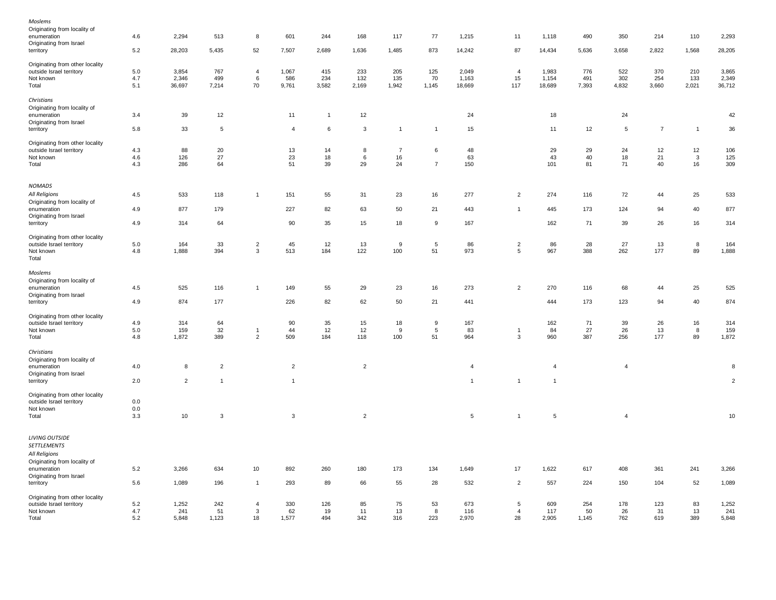| Moslems                                     |         |                |                |                |                |                |                |                |                |                |                |                |       |                |                |                |                |
|---------------------------------------------|---------|----------------|----------------|----------------|----------------|----------------|----------------|----------------|----------------|----------------|----------------|----------------|-------|----------------|----------------|----------------|----------------|
| Originating from locality of                |         |                |                |                |                |                |                |                |                |                |                |                |       |                |                |                |                |
| enumeration                                 | 4.6     | 2,294          | 513            | 8              | 601            | 244            | 168            | 117            | 77             | 1,215          | 11             | 1,118          | 490   | 350            | 214            | 110            | 2,293          |
| Originating from Israel                     |         |                |                |                |                |                |                |                |                |                |                |                |       |                |                |                |                |
| territory                                   | 5.2     | 28,203         | 5,435          | 52             | 7,507          | 2,689          | 1,636          | 1,485          | 873            | 14,242         | 87             | 14,434         | 5,636 | 3,658          | 2,822          | 1,568          | 28,205         |
| Originating from other locality             |         |                |                |                |                |                |                |                |                |                |                |                |       |                |                |                |                |
| outside Israel territory                    | 5.0     | 3,854          | 767            | $\overline{4}$ | 1,067          | 415            | 233            | 205            | 125            | 2,049          | $\overline{4}$ | 1,983          | 776   | 522            | 370            | 210            | 3,865          |
| Not known                                   | 4.7     | 2,346          | 499            | 6              | 586            | 234            | 132            | 135            | 70             | 1,163          | 15             | 1,154          | 491   | 302            | 254            | 133            | 2,349          |
| Total                                       | 5.1     | 36,697         | 7,214          | 70             | 9,761          | 3,582          | 2,169          | 1,942          | 1,145          | 18,669         | 117            | 18,689         | 7,393 | 4,832          | 3,660          | 2,021          | 36,712         |
| Christians                                  |         |                |                |                |                |                |                |                |                |                |                |                |       |                |                |                |                |
| Originating from locality of                |         |                |                |                |                |                |                |                |                |                |                |                |       |                |                |                |                |
| enumeration                                 | 3.4     | 39             | 12             |                | 11             | $\overline{1}$ | 12             |                |                | 24             |                | 18             |       | 24             |                |                | 42             |
| Originating from Israel                     |         |                |                |                |                |                |                |                |                |                |                |                |       |                |                |                |                |
| territory                                   | 5.8     | 33             | 5              |                | $\overline{4}$ | 6              | 3              | $\mathbf{1}$   | $\mathbf{1}$   | 15             |                | 11             | 12    | 5              | $\overline{7}$ | $\overline{1}$ | 36             |
| Originating from other locality             |         |                |                |                |                |                |                |                |                |                |                |                |       |                |                |                |                |
| outside Israel territory                    | $4.3$   | 88             | 20             |                | 13             | 14             | 8              | $\overline{7}$ | 6              | 48             |                | 29             | 29    | 24             | 12             | 12             | 106            |
| Not known                                   | 4.6     | 126            | 27             |                | 23             | 18             | 6              | 16             |                | 63             |                | 43             | 40    | 18             | 21             | $\mathbf{3}$   | 125            |
| Total                                       | 4.3     | 286            | 64             |                | 51             | 39             | 29             | 24             | $\overline{7}$ | 150            |                | 101            | 81    | 71             | 40             | 16             | 309            |
| <b>NOMADS</b>                               |         |                |                |                |                |                |                |                |                |                |                |                |       |                |                |                |                |
|                                             |         |                |                |                |                |                |                |                |                |                |                |                |       |                |                |                |                |
| All Religions                               | 4.5     | 533            | 118            | $\mathbf{1}$   | 151            | 55             | 31             | 23             | 16             | 277            | $\overline{c}$ | 274            | 116   | 72             | 44             | 25             | 533            |
| Originating from locality of<br>enumeration | 4.9     | 877            | 179            |                | 227            | 82             | 63             | 50             | 21             | 443            | $\overline{1}$ | 445            | 173   | 124            | 94             | 40             | 877            |
| Originating from Israel                     |         |                |                |                |                |                |                |                |                |                |                |                |       |                |                |                |                |
| territory                                   | 4.9     | 314            | 64             |                | 90             | 35             | 15             | 18             | 9              | 167            |                | 162            | 71    | 39             | 26             | 16             | 314            |
| Originating from other locality             |         |                |                |                |                |                |                |                |                |                |                |                |       |                |                |                |                |
| outside Israel territory                    | $5.0\,$ | 164            | 33             | $\overline{c}$ | 45             | 12             | 13             | 9              | 5              | 86             | $\overline{c}$ | 86             | 28    | 27             | 13             | 8              | 164            |
| Not known                                   | 4.8     | 1,888          | 394            | $\mathbf{3}$   | 513            | 184            | 122            | 100            | 51             | 973            | 5              | 967            | 388   | 262            | 177            | 89             | 1,888          |
| Total                                       |         |                |                |                |                |                |                |                |                |                |                |                |       |                |                |                |                |
| Moslems                                     |         |                |                |                |                |                |                |                |                |                |                |                |       |                |                |                |                |
| Originating from locality of                |         |                |                |                |                |                |                |                |                |                |                |                |       |                |                |                |                |
| enumeration                                 | 4.5     | 525            | 116            | $\overline{1}$ | 149            | 55             | 29             | 23             | 16             | 273            | $\overline{c}$ | 270            | 116   | 68             | 44             | 25             | 525            |
| Originating from Israel                     |         |                |                |                |                |                |                |                |                |                |                |                |       |                |                |                |                |
| territory                                   | 4.9     | 874            | 177            |                | 226            | 82             | 62             | 50             | 21             | 441            |                | 444            | 173   | 123            | 94             | 40             | 874            |
| Originating from other locality             |         |                |                |                |                |                |                |                |                |                |                |                |       |                |                |                |                |
| outside Israel territory                    | 4.9     | 314            | 64             |                | 90             | 35             | 15             | 18             | 9              | 167            |                | 162            | 71    | 39             | 26             | 16             | 314            |
| Not known                                   | $5.0\,$ | 159            | 32             | $\overline{1}$ | 44             | 12             | 12             | 9              | $\overline{5}$ | 83             | $\overline{1}$ | 84             | 27    | 26             | 13             | 8              | 159            |
| Total                                       | 4.8     | 1,872          | 389            | $\sqrt{2}$     | 509            | 184            | 118            | 100            | 51             | 964            | 3              | 960            | 387   | 256            | 177            | 89             | 1,872          |
| Christians                                  |         |                |                |                |                |                |                |                |                |                |                |                |       |                |                |                |                |
| Originating from locality of                |         |                |                |                |                |                |                |                |                |                |                |                |       |                |                |                |                |
| enumeration                                 | 4.0     | 8              | $\overline{2}$ |                | $\overline{c}$ |                | $\overline{c}$ |                |                | $\overline{4}$ |                | $\overline{4}$ |       | $\overline{4}$ |                |                | $\bf8$         |
| Originating from Israel                     |         |                |                |                |                |                |                |                |                |                |                |                |       |                |                |                |                |
| territory                                   | 2.0     | $\overline{2}$ | $\mathbf{1}$   |                | $\mathbf{1}$   |                |                |                |                | $\overline{1}$ | $\mathbf{1}$   | $\overline{1}$ |       |                |                |                | $\overline{2}$ |
| Originating from other locality             |         |                |                |                |                |                |                |                |                |                |                |                |       |                |                |                |                |
| outside Israel territory                    | 0.0     |                |                |                |                |                |                |                |                |                |                |                |       |                |                |                |                |
| Not known                                   | 0.0     |                |                |                |                |                |                |                |                |                |                |                |       |                |                |                |                |
| Total                                       | 3.3     | 10             | 3              |                | 3              |                | $\overline{2}$ |                |                | $\overline{5}$ | $\mathbf{1}$   | $\sqrt{5}$     |       | $\overline{4}$ |                |                | 10             |
|                                             |         |                |                |                |                |                |                |                |                |                |                |                |       |                |                |                |                |
| <b>LIVING OUTSIDE</b>                       |         |                |                |                |                |                |                |                |                |                |                |                |       |                |                |                |                |
| <b>SETTLEMENTS</b>                          |         |                |                |                |                |                |                |                |                |                |                |                |       |                |                |                |                |
| All Religions                               |         |                |                |                |                |                |                |                |                |                |                |                |       |                |                |                |                |
| Originating from locality of                |         |                |                |                |                |                |                |                |                |                |                |                |       |                |                |                |                |
| enumeration                                 | 5.2     | 3,266          | 634            | 10             | 892            | 260            | 180            | 173            | 134            | 1,649          | 17             | 1,622          | 617   | 408            | 361            | 241            | 3,266          |
| Originating from Israel                     |         |                |                |                |                |                |                |                |                |                |                |                |       |                |                |                |                |
| territory                                   | 5.6     | 1,089          | 196            | $\overline{1}$ | 293            | 89             | 66             | 55             | 28             | 532            | $\overline{c}$ | 557            | 224   | 150            | 104            | 52             | 1,089          |
| Originating from other locality             |         |                |                |                |                |                |                |                |                |                |                |                |       |                |                |                |                |
| outside Israel territory                    | 5.2     | 1,252          | 242            | $\overline{4}$ | 330            | 126            | 85             | 75             | 53             | 673            | $\overline{5}$ | 609            | 254   | 178            | 123            | 83             | 1,252          |
| Not known                                   | 4.7     | 241            | 51             | 3              | 62             | 19             | 11             | 13             | 8              | 116            | $\overline{4}$ | 117            | 50    | 26             | 31             | 13             | 241            |
| Total                                       | 5.2     | 5,848          | 1,123          | 18             | 1,577          | 494            | 342            | 316            | 223            | 2,970          | 28             | 2,905          | 1,145 | 762            | 619            | 389            | 5,848          |